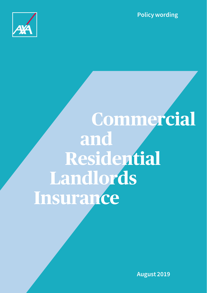**Policy wording**



# **Commercial and Residential Landlords Insurance**

**August 2019**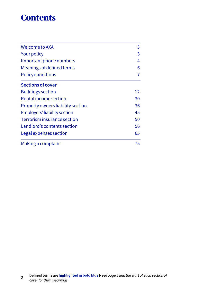## **Contents**

| Welcome to AXA<br><b>Your policy</b><br>Important phone numbers<br>Meanings of defined terms<br><b>Policy conditions</b> | 3                        |                          |
|--------------------------------------------------------------------------------------------------------------------------|--------------------------|--------------------------|
|                                                                                                                          | 3<br>4<br>6              |                          |
|                                                                                                                          |                          | 7                        |
|                                                                                                                          |                          | <b>Sections of cover</b> |
|                                                                                                                          | <b>Buildings section</b> | 12                       |
| Rental income section                                                                                                    | 30                       |                          |
| Property owners liability section                                                                                        | 36                       |                          |
| <b>Employers' liability section</b>                                                                                      | 45                       |                          |
| Terrorism insurance section                                                                                              | 50                       |                          |
| Landlord's contents section                                                                                              | 56                       |                          |
| Legal expenses section                                                                                                   | 65                       |                          |
| Making a complaint                                                                                                       | 75                       |                          |

<sup>2</sup> Defined terms are **highlighted in bold blue** *see page 6 and the start of each section of cover for their meanings*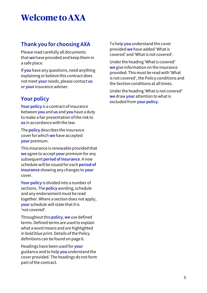# **Welcome to AXA**

### **Thank you for choosing AXA**

Please read carefully all documents that **we** have provided and keep them in a safe place.

If **you** have any questions, need anything explaining or believe this contract does not meet **your** needs, please contact **us** or **your** insurance adviser.

### **Your policy**

**Your policy** is a contract of insurance between **you** and **us** and **you** have a duty to make a fair presentation of the risk to **us** in accordance with the law.

The **policy** describes the insurance cover for which **we** have accepted **your** premium.

This insurance is renewable provided that **we** agree to accept **your** premium for any subsequent **period of insurance**. A new schedule will be issued for each **period of insurance** showing any changes to **your** cover.

**Your policy** is divided into a number of sections. The **policy** wording, schedule and any endorsement must be read together. Where a section does not apply, **your** schedule will state that it is 'not covered'.

Throughout this **policy**, **we** use defined terms. Defined terms are used to explain what a word means and are highlighted in bold blue print. Details of the Policy definitions can be found on page 6.

Headings have been used for **your** guidance and to help **you** understand the cover provided. The headings do not form part of the contract.

To help **you** understand the cover provided **we** have added 'What is covered' and 'What is not covered'.

Under the heading 'What is covered' **we** give information on the insurance provided. This must be read with 'What is not covered', the Policy conditions and the Section conditions at all times.

Under the heading 'What is not covered' **we** draw **your** attention to what is excluded from **your policy**.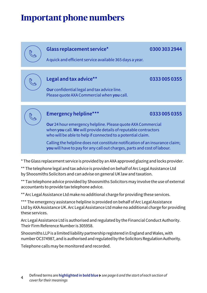# **Important phone numbers**

### **Glass replacement service\* 0300 303 2944**

A quick and efficient service available 365 days a year.

### **Legal and tax advice\*\* 0333 005 0355**

 $\mathscr{C}$ 

**Our** confidential legal and tax advice line. Please quote AXA Commercial when **you** call.

### **Emergency helpline\*\*\* 0333 005 0355**

**Our** 24 hour emergency helpline. Please quote AXA Commercial when **you** call. **We** will provide details of reputable contractors who will be able to help if connected to a potential claim.

Calling the helpline does not constitute notification of an insurance claim; **you** will have to pay for any call out charges, parts and cost of labour.

\* The Glass replacement service is provided by an AXA approved glazing and locks provider.

\*\* The telephone legal and tax advice is provided on behalf of Arc Legal Assistance Ltd by Shoosmiths Solicitors and can advise on general UK law and taxation.

\*\* Tax telephone advice provided by Shoosmiths Solicitors may involve the use of external accountants to provide tax telephone advice.

\*\* Arc Legal Assistance Ltd make no additional charge for providing these services.

\*\*\* The emergency assistance helpline is provided on behalf of Arc Legal Assistance Ltd by AXA Assistance UK. Arc Legal Assistance Ltd make no additional charge for providing these services.

Arc Legal Assistance Ltd is authorised and regulated by the Financial Conduct Authority. Their Firm Reference Number is 305958.

Shoosmiths LLP is a limited liability partnership registered in England and Wales, with number OC374987, and is authorised and regulated by the Solicitors Regulation Authority.

Telephone calls may be monitored and recorded.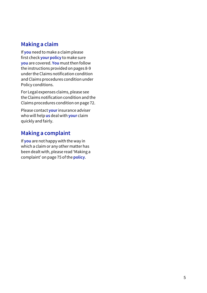### **Making a claim**

If **you** need to make a claim please first check **your policy** to make sure **you** are covered. **You** must then follow the instructions provided on pages 8-9 under the Claims notification condition and Claims procedures condition under Policy conditions.

For Legal expenses claims, please see the Claims notification condition and the Claims procedures condition on page 72.

Please contact **your** insurance adviser who will help **us** deal with **your** claim quickly and fairly.

### **Making a complaint**

If **you** are not happy with the way in which a claim or any other matter has been dealt with, please read 'Making a complaint' on page 75 of the **policy**.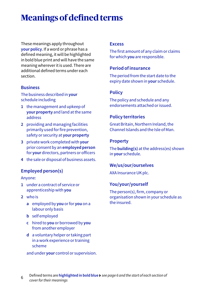# **Meanings of defined terms**

These meanings apply throughout **your policy**. If a word or phrase has a defined meaning, it will be highlighted in bold blue print and will have the same meaning wherever it is used. There are additional defined terms under each section.

#### **Business**

#### The business described in **your** schedule including

- **1** the management and upkeep of **your property** and land at the same address
- **2** providing and managing facilities primarily used for fire prevention, safety or security at **your property**
- **3** private work completed with **your** prior consent by an **employed person** for **your** directors, partners or officers
- **4** the sale or disposal of business assets.

#### **Employed person(s)**

#### Anyone:

- **1** under a contract of service or apprenticeship with **you**
- **2** who is
	- **a** employed by **you** or for **you** on a labour only basis
	- **b** self employed
	- **c** hired to **you** or borrowed by **you** from another employer
	- **d** a voluntary helper or taking part in a work experience or training scheme

and under **your** control or supervision.

#### **Excess**

The first amount of any claim or claims for which **you** are responsible.

#### **Period of insurance**

The period from the start date to the expiry date shown in **your** schedule.

#### **Policy**

The policy and schedule and any endorsements attached or issued.

#### **Policy territories**

Great Britain, Northern Ireland, the Channel Islands and the Isle of Man.

#### **Property**

The **building(s)** at the address(es) shown in **your** schedule.

#### **We/us/our/ourselves**

AXA Insurance UK plc.

#### **You/your/yourself**

The person(s), firm, company or organisation shown in your schedule as the insured.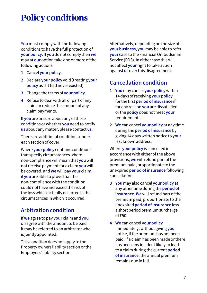# **Policy conditions**

**You** must comply with the following conditions to have the full protection of **your policy**. If **you** do not comply then **we** may at **our** option take one or more of the following actions

- **1** Cancel **your policy**.
- **2** Declare **your policy** void (treating **your policy** as if it had never existed).
- **3** Change the terms of **your policy**.
- **4** Refuse to deal with all or part of any claim or reduce the amount of any claim payments.

If **you** are unsure about any of these conditions or whether **you** need to notify **us** about any matter, please contact **us**.

There are additional conditions under each section of cover.

Where **your policy** contains conditions that specify circumstances where non-compliance will mean that **you** will not receive payment for a claim **you** will be covered, and **we** will pay **your** claim, if **you** are able to prove that the non-compliance with the condition could not have increased the risk of the loss which actually occurred in the circumstances in which it occurred.

### **Arbitration condition**

If **we** agree to pay **your** claim and **you** disagree with the amount to be paid it may be referred to an arbitrator who is jointly appointed.

This condition does not apply to the Property owners liability section or the Employers' liability section.

Alternatively, depending on the size of **your business**, **you** may be able to refer **your** case to the Financial Ombudsman Service (FOS). In either case this will not affect **your** right to take action against **us** over this disagreement.

### **Cancellation condition**

- **1 You** may cancel **your policy** within 14 days of receiving **your policy**  for the first **period of insurance** if for any reason **you** are dissatisfied or the **policy** does not meet **your** requirements.
- **2 We** can cancel **your policy** at any time during the **period of insurance** by giving 14 days written notice to **your** last known address.

Where **your policy** is cancelled in accordance with either of the above provisions, **we** will refund part of the premium paid, proportionate to the unexpired **period of insurance** following cancellation.

- **3 You** may also cancel **your policy** at any other time during the **period of insurance**. **We** will refund part of the premium paid, proportionate to the unexpired **period of insurance** less a short period premium surcharge  $of  $f50$$
- **4 We** can cancel **your policy** immediately, without giving **you** notice, if the premium has not been paid. If a claim has been made or there has been any incident likely to lead to a claim during the current **period of insurance**, the annual premium remains due in full.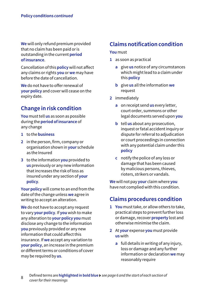**We** will only refund premium provided that no claim has been paid or is outstanding in the current **period of insurance**.

Cancellation of this **policy** will not affect any claims or rights **you** or **we** may have before the date of cancellation.

**We** do not have to offer renewal of **your policy** and cover will cease on the expiry date.

### **Change in risk condition**

**You** must tell **us** as soon as possible during the **period of insurance** of any change

- **1** to the **business**
- **2** in the person, firm, company or organisation shown in **your** schedule as the Insured
- **3** to the information **you** provided to **us** previously or any new information that increases the risk of loss as insured under any section of **your policy**.

**Your policy** will come to an end from the date of the change unless **we** agree in writing to accept an alteration.

**We** do not have to accept any request to vary **your policy**. If **you** wish to make any alteration to **your policy you** must disclose any change to the information **you** previously provided or any new information that could affect this insurance. If **we** accept any variation to **your policy**, an increase in the premium or different terms or conditions of cover may be required by **us**.

### **Claims notification condition**

#### **You** must

- **1** as soon as practical
	- **a** give **us** notice of any circumstances which might lead to a claim under this **policy**
	- **b** give **us** all the information **we** request
- **2** immediately
	- **a** on receipt send **us** every letter, court order, summons or other legal documents served upon **you**
	- **b** tell **us** about any prosecution, inquest or fatal accident inquiry or dispute for referral to adjudication or court proceedings in connection with any potential claim under this **policy**
	- **c** notify the police of any loss or damage that has been caused by malicious persons, thieves, rioters, strikers or vandals.

**We** will not pay **your** claim where **you** have not complied with this condition.

### **Claims procedures condition**

- **1 You** must take, or allow others to take, practical steps to prevent further loss or damage, recover **property** lost and otherwise minimise the claim.
- **2** At **your** expense **you** must provide **us** with
	- **a** full details in writing of any injury, loss or damage and any further information or declaration **we** may reasonably require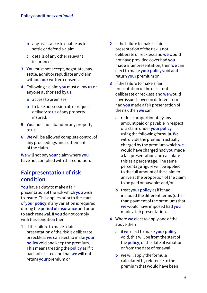- **b** any assistance to enable **us** to settle or defend a claim
- **c** details of any other relevant insurances.
- **3 You** must not accept, negotiate, pay, settle, admit or repudiate any claim without **our** written consent.
- **4** Following a claim **you** must allow **us** or anyone authorised by **us**
	- **a** access to premises
	- **b** to take possession of, or request delivery to **us** of any property insured.
- **5 You** must not abandon any property to **us**.
- **6 We** will be allowed complete control of any proceedings and settlement of the claim.

**We** will not pay **your** claim where **you** have not complied with this condition.

### **Fair presentation of risk condition**

**You** have a duty to make a fair presentation of the risk which **you** wish to insure. This applies prior to the start of **your policy**, if any variation is required during the **period of insurance** and prior to each renewal. If **you** do not comply with this condition then

**1** if the failure to make a fair presentation of the risk is deliberate or reckless **we** can elect to make **your policy** void and keep the premium. This means treating the **policy** as if it had not existed and that **we** will not return **your** premium or

- **2** if the failure to make a fair presentation of the risk is not deliberate or reckless and **we** would not have provided cover had **you** made a fair presentation, then **we** can elect to make **your policy** void and return **your** premium or
- **3** if the failure to make a fair presentation of the risk is not deliberate or reckless and **we** would have issued cover on different terms had **you** made a fair presentation of the risk then **we** can:
	- **a** reduce proportionately any amount paid or payable in respect of a claim under **your policy** using the following formula. **We**  will divide the premium actually charged by the premium which **we**  would have charged had **you** made a fair presentation and calculate this as a percentage. The same percentage figure will be applied to the full amount of the claim to arrive at the proportion of the claim to be paid or payable; and/or
	- **b** treat **your policy** as if it had included the different terms (other than payment of the premium) that **we** would have imposed had **you** made a fair presentation.
- **4** Where **we** elect to apply one of the above then
	- **a** if **we** elect to make **your policy** void, this will be from the start of the **policy**, or the date of variation or from the date of renewal
	- **b we** will apply the formula calculated by reference to the premium that would have been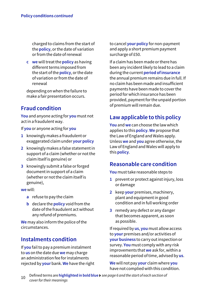charged to claims from the start of the **policy**, or the date of variation or from the date of renewal

**c we** will treat the **policy** as having different terms imposed from the start of the **policy**, or the date of variation or from the date of renewal

 depending on when the failure to make a fair presentation occurs.

### **Fraud condition**

**You** and anyone acting for **you** must not act in a fraudulent way.

If **you** or anyone acting for **you**

- **1** knowingly makes a fraudulent or exaggerated claim under **your policy**
- **2** knowingly makes a false statement in support of a claim (whether or not the claim itself is genuine) or
- **3** knowingly submit a false or forged document in support of a claim (whether or not the claim itself is genuine),

**we** will:

- **a** refuse to pay the claim
- **b** declare the **policy** void from the date of the fraudulent act without any refund of premiums.

**We** may also inform the police of the circumstances.

### **Instalments condition**

If **you** fail to pay a premium instalment to **us** on the date due **we** may charge an administration fee for instalments rejected by **your** bank. **We** have the right to cancel **your policy** for non-payment and apply a short premium payment surcharge of £50.

If a claim has been made or there has been any incident likely to lead to a claim during the current **period of insurance** the annual premium remains due in full. If no claim has been made and insufficient payments have been made to cover the period for which insurance has been provided, payment for the unpaid portion of premium will remain due.

### **Law applicable to this policy**

**You** and **we** can choose the law which applies to this **policy**. **We** propose that the Law of England and Wales apply. Unless **we** and **you** agree otherwise, the Law of England and Wales will apply to this **policy**.

### **Reasonable care condition**

**You** must take reasonable steps to

- **1** prevent or protect against injury, loss or damage
- **2** keep **your** premises, machinery, plant and equipment in good condition and in full working order
- **3** remedy any defect or any danger that becomes apparent, as soon as possible.

If required by **us**, **you** must allow access to **your** premises and/or activities of **your business** to carry out inspection or survey. **You** must comply with any risk improvements that **we** ask for, within a reasonable period of time, advised by **us**.

**We** will not pay **your** claim where **you** have not complied with this condition.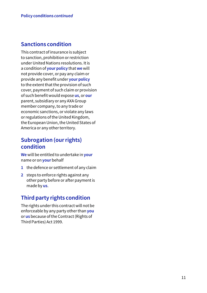### **Sanctions condition**

This contract of insurance is subject to sanction, prohibition or restriction under United Nations resolutions. It is a condition of **your policy** that **we** will not provide cover, or pay any claim or provide any benefit under **your policy** to the extent that the provision of such cover, payment of such claim or provision of such benefit would expose **us**, or **our**  parent, subsidiary or any AXA Group member company, to any trade or economic sanctions, or violate any laws or regulations of the United Kingdom, the European Union, the United States of America or any other territory.

### **Subrogation (our rights) condition**

**We** will be entitled to undertake in **your** name or on **your** behalf

- **1** the defence or settlement of any claim
- **2** steps to enforce rights against any other party before or after payment is made by **us**.

### **Third party rights condition**

The rights under this contract will not be enforceable by any party other than **you** or **us** because of the Contract (Rights of Third Parties) Act 1999.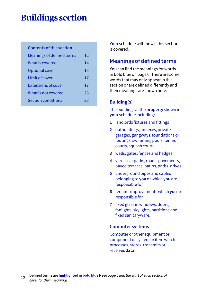# **Buildings section**

#### **Contents of this section**

| Meanings of defined terms  | 12 |
|----------------------------|----|
| What is covered            | 14 |
| Optional cover             | 15 |
| Limit of cover             | 17 |
| <b>Extensions of cover</b> | 17 |
| What is not covered        | 25 |
| <b>Section conditions</b>  | 28 |
|                            |    |

**Your** schedule will show if this section is covered.

### **Meanings of defined terms**

**You** can find the meanings for words in bold blue on page 6. There are some words that may only appear in this section or are defined differently and their meanings are shown here.

### **Building(s)**

The buildings at the **property** shown in **your** schedule including:

- **1** landlords fixtures and fittings
- **2** outbuildings, annexes, private garages, gangways, foundations or footings, swimming pools, tennis courts, squash courts
- **3** walls, gates, fences and hedges
- **4** yards, car parks, roads, pavements, paved terraces, patios, paths, drives
- **5** underground pipes and cables belonging to **you** or which **you** are responsible for
- **6** tenants improvements which **you** are responsible for
- **7** fixed glass in windows, doors, fanlights, skylights, partitions and fixed sanitaryware.

#### **Computer systems**

Computer or other equipment or component or system or item which processes, stores, transmits or receives **data**.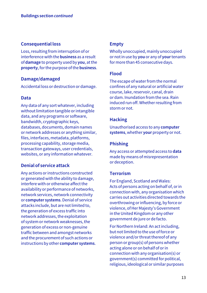#### **Consequential loss**

Loss, resulting from interruption of or interference with the **business** as a result of **damage** to property used by **you**, at the **property**, for the purpose of the **business**.

#### **Damage/damaged**

Accidental loss or destruction or damage.

#### **Data**

Any data of any sort whatever, including without limitation tangible or intangible data, and any programs or software, bandwidth, cryptographic keys, databases, documents, domain names or network addresses or anything similar, files, interfaces, metadata, platforms, processing capability, storage media, transaction gateways, user credentials, websites, or any information whatever.

#### **Denial of service attack**

Any actions or instructions constructed or generated with the ability to damage, interfere with or otherwise affect the availability or performance of networks, network services, network connectivity or **computer systems**. Denial of service attacks include, but are not limited to, the generation of excess traffic into network addresses, the exploitation of system or network weaknesses, the generation of excess or non-genuine traffic between and amongst networks and the procurement of such actions or instructions by other **computer systems**.

#### **Empty**

Wholly unoccupied, mainly unoccupied or not in use by **you** or any of **your** tenants for more than 45 consecutive days.

#### **Flood**

The escape of water from the normal confines of any natural or artificial water course, lake, reservoir, canal, drain or dam. Inundation from the sea. Rain induced run off. Whether resulting from storm or not.

#### **Hacking**

Unauthorised access to any **computer systems**, whether **your** property or not.

#### **Phishing**

Any access or attempted access to **data** made by means of misrepresentation or deception.

#### **Terrorism**

For England, Scotland and Wales: Acts of persons acting on behalf of, or in connection with, any organisation which carries out activities directed towards the overthrowing or influencing, by force or violence, of Her Majesty's Government in the United Kingdom or any other government de jure or de facto.

For Northern Ireland: An act including, but not limited to the use of force or violence and/or threat thereof of any person or group(s) of persons whether acting alone or on behalf of or in connection with any organisation(s) or government(s) committed for political, religious, ideological or similar purposes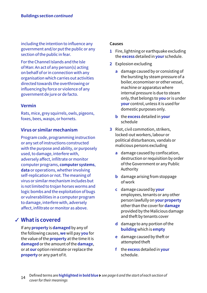including the intention to influence any government and/or put the public or any section of the public in fear.

For the Channel Islands and the Isle of Man: An act of any person(s) acting on behalf of or in connection with any organisation which carries out activities directed towards the overthrowing or influencing by force or violence of any government de jure or de facto.

#### **Vermin**

Rats, mice, grey squirrels, owls, pigeons, foxes, bees, wasps, or hornets.

#### **Virus or similar mechanism**

Program code, programming instruction or any set of instructions constructed with the purpose and ability, or purposely used, to damage, interfere with, adversely affect, infiltrate or monitor computer programs, **computer systems**, **data** or operations, whether involving self-replication or not. The meaning of virus or similar mechanism includes but is not limited to trojan horses worms and logic bombs and the exploitation of bugs or vulnerabilities in a computer program to damage, interfere with, adversely affect, infiltrate or monitor as above.

### **What is covered** ✓

If any **property** is **damaged** by any of the following causes, **we** will pay **you** for the value of the **property** at the time it is **damaged** or the amount of the **damage**, or at **our** option reinstate or replace the **property** or any part of it.

#### **Causes**

- **1** Fire, lightning or earthquake excluding the **excess** detailed in **your** schedule.
- **2** Explosion excluding
	- **a** damage caused by or consisting of the bursting by steam pressure of a boiler, economiser or other vessel, machine or apparatus where internal pressure is due to steam only, that belongs to **you** or is under **your** control, unless it is used for domestic purposes only.
	- **b** the **excess** detailed in **your** schedule
- **3** Riot, civil commotion, strikers, locked-out workers, labour or political disturbances, vandals or malicious persons excluding
	- **a** damage caused by confiscation, destruction or requisition by order of the Government or any Public Authority
	- **b** damage arising from stoppage of work
	- **c** damage caused by **your** employees, tenants or any other person lawfully on **your property** other than the cover for **damage** provided by the Malicious damage and theft by tenants cover
	- **d** damage to any portion of the **building** which is **empty**
	- **e** damage caused by theft or attempted theft
	- **f** the **excess** detailed in **your**  schedule.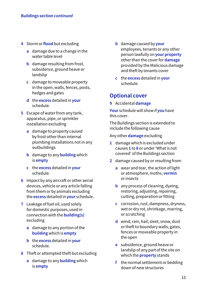- **4** Storm or **flood** but excluding
	- **a** damage due to a change in the water table level
	- **b** damage resulting from frost, subsidence, ground heave or landslip
	- **c** damage to moveable property in the open, walls, fences, posts, hedges and gates
	- **d** the **excess** detailed in **your**  schedule.
- **5** Escape of water from any tank, apparatus, pipe, or sprinkler installation excluding
	- **a** damage to property caused by frost other than internal plumbing installations not in any outbuildings
	- **b** damage to any **building** which is **empty**
	- **c** the **excess** detailed in **your**  schedule.
- **6** Impact by any aircraft or other aerial devices, vehicle or any article falling from them or by animals excluding the **excess** detailed in **your** schedule.
- **7** Leakage of fuel oil, used solely for domestic purposes, used in connection with the **building(s)** excluding
	- **a** damage to any portion of the **building** which is **empty**
	- **b** the **excess** detailed in **your**  schedule.
- **8** Theft or attempted theft but excluding
	- **a** damage to any **building** which is **empty**
- **b** damage caused by **your** employees, tenants or any other person lawfully on **your property**  other than the cover for **damage** provided by the Malicious damage and theft by tenants cover
- **c** the **excess** detailed in **your**  schedule.

### **Optional cover**

**9** Accidental **damage**

**Your** schedule will show if **you** have this cover.

The Buildings section is extended to include the following cause

Any other **damage** excluding

- **1** damage which is excluded under causes **1** to **8** or under 'What is not covered' of the Buildings section
- **2** damage caused by or resulting from:
	- **a** wear and tear, the action of light or atmosphere, moths, **vermin** or insects
	- **b** any process of cleaning, dyeing, restoring, adjusting, repairing, cutting, preparation or fitting
	- **c** corrosion, rust, dampness, dryness, wet or dry rot, shrinkage, marring, or scratching
	- **d** wind, rain, hail, sleet, snow, dust or theft to boundary walls, gates, fences or moveable property in the open
	- **e** subsidence, ground heave or landslip of any part of the site on which the **property** stands
	- **f** the normal settlement or bedding down of new structures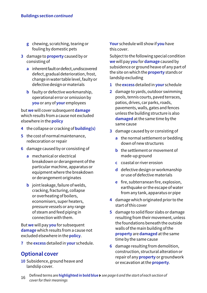- **g** chewing, scratching, tearing or fouling by domestic pets
- **3** damage to **property** caused by or consisting of
	- **a** inherent fault or defect, undiscovered defect, gradual deterioration, frost, change in water table level, faulty or defective design or materials
	- **b** faulty or defective workmanship, operational error or omission by **you** or any of **your** employees

but **we** will cover subsequent **damage** which results from a cause not excluded elsewhere in the **policy**

- **4** the collapse or cracking of **building(s)**
- **5** the cost of normal maintenance, redecoration or repair
- **6** damage caused by or consisting of
	- **a** mechanical or electrical breakdown or derangement of the particular machine, apparatus or equipment where the breakdown or derangement originates
	- **b** joint leakage, failure of welds, cracking, fracturing, collapse or overheating of boilers, economisers, super heaters, pressure vessels or any range of steam and feed piping in connection with them.

But **we** will pay **you** for subsequent **damage** which results from a cause not excluded elsewhere in the **policy**.

**7** the **excess** detailed in **your** schedule.

### **Optional cover**

**10** Subsidence, ground heave and landslip cover.

**Your** schedule will show if **you** have this cover.

Subject to the following special condition **we** will pay **you** for **damage** caused by subsidence or ground heave of any part of the site on which the **property** stands or landslip excluding

- **1** the **excess** detailed in **your** schedule
- **2** damage to yards, outdoor swimming pools, tennis courts, paved terraces, patios, drives, car parks, roads, pavements, walls, gates and fences unless the building structure is also **damaged** at the same time by the same cause
- **3** damage caused by or consisting of
	- **a** the normal settlement or bedding down of new structures
	- **b** the settlement or movement of made-up ground
	- **c** coastal or river erosion
	- **d** defective design or workmanship or use of defective materials
	- **e** fire, subterranean fire, explosion, earthquake or the escape of water from any tank, apparatus or pipe
- **4** damage which originated prior to the start of this cover
- **5** damage to solid floor slabs or damage resulting from their movement, unless the foundations beneath the outside walls of the main building of the **property** are **damaged** at the same time by the same cause
- **6** damage resulting from demolition, construction, structural alteration or repair of any **property** or groundwork or excavation at the **property**.
- <sup>16</sup> Defined terms are **highlighted in bold blue** *see page 6 and the start of each section of cover for their meanings*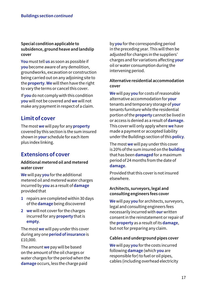#### **Special condition applicable to subsidence, ground heave and landslip cover**

**You** must tell **us** as soon as possible if **you** become aware of any demolition, groundworks, excavation or construction being carried out on any adjoining site to the **property**. **We** will then have the right to vary the terms or cancel this cover.

If **you** do not comply with this condition **you** will not be covered and **we** will not make any payment in respect of a claim.

### **Limit of cover**

The most **we** will pay for any **property** covered by this section is the sum insured shown in **your** schedule for each item plus index linking.

### **Extensions of cover**

#### **Additional metered oil and metered water cover**

**We** will pay **you** for the additional metered oil and metered water charges incurred by **you** as a result of **damage** provided that

- **1** repairs are completed within 30 days of the **damage** being discovered
- **2 we** will not cover for the charges incurred for any **property** that is **empty**.

The most **we** will pay under this cover during any one **period of insurance** is £10,000.

The amount **we** pay will be based on the amount of the oil charges or water charges for the period when the **damage** occurs, less the charge paid

by **you** for the corresponding period in the preceding year. This will then be adjusted for changes in the suppliers' charges and for variations affecting **your** oil or water consumption during the intervening period.

#### **Alternative residential accommodation cover**

**We** will pay **you** for costs of reasonable alternative accommodation for **your** tenants and temporary storage of **your** tenants furniture while the residential portion of the **property** cannot be lived in or access is denied as a result of **damage**. This cover will only apply where **we** have made a payment or accepted liability under the Buildings section of this **policy**.

The most **we** will pay under this cover is 20% of the sum insured on the **building** that has been **damaged** for a maximum period of 24 months from the date of **damage**.

Provided that this cover is not insured elsewhere.

#### **Architects, surveyors, legal and consulting engineers fees cover**

**We** will pay **you** for architects, surveyors, legal and consulting engineers fees necessarily incurred with **our** written consent in the reinstatement or repair of the **property** as a result of its **damage**, but not for preparing any claim.

#### **Cables and underground pipes cover**

**We** will pay **you** for the costs incurred following **damage** (which **you** are responsible for) to fuel or oil pipes, cables (including overhead electricity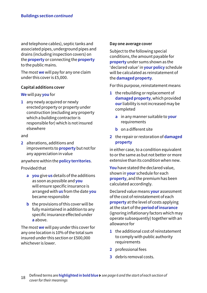and telephone cables), septic tanks and associated pipes, underground pipes and drains (including inspection covers) on the **property** or connecting the **property** to the public mains.

The most **we** will pay for any one claim under this cover is £5,000.

#### **Capital additions cover**

#### **We** will pay **you** for

**1** any newly acquired or newly erected property or property under construction (excluding any property which a building contractor is responsible for) which is not insured elsewhere

#### and

**2** alterations, additions and improvements to **property** but not for any appreciation in value

#### anywhere within the **policy territories**.

#### Provided that

- **a you** give **us** details of the additions as soon as possible and **you** will ensure specific insurance is arranged with **us** from the date **you** became responsible
- **b** the provisions of this cover will be fully maintained in addition to any specific insurance effected under **a** above.

The most **we** will pay under this cover for any one location is 10% of the total sum insured under this section or £500,000 whichever is lower.

#### **Day one average cover**

Subject to the following special conditions, the amount payable for **property** under sums shown as the 'declared value' in **your policy** schedule will be calculated as reinstatement of the **damaged property**.

For this purpose, reinstatement means

- **1** the rebuilding or replacement of **damaged property**, which provided **our** liability is not increased may be completed
	- **a** in any manner suitable to **your** requirements
	- **b** on a different site
- **2** the repair or restoration of **damaged property**

in either case, to a condition equivalent to or the same as but not better or more extensive than its condition when new.

**You** have stated the declared value, shown in **your** schedule for each **property**, and the premium has been calculated accordingly.

Declared value means **your** assessment of the cost of reinstatement of each **property** at the level of costs applying at the start of the **period of insurance** (ignoring inflationary factors which may operate subsequently) together with an allowance for

- **1** the additional cost of reinstatement to comply with public authority requirements
- **2** professional fees
- **3** debris removal costs.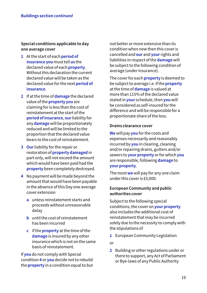#### **Special conditions applicable to day one average cover**

- **1** At the start of each **period of insurance you** must tell **us** the declared value of each **property**. Without this declaration the current declared value will be taken as the declared value for the next **period of insurance**.
- **2** If at the time of **damage** the declared value of the **property you** are claiming for is less than the cost of reinstatement at the start of the **period of insurance**, **our** liability for any **damage** will be proportionately reduced and will be limited to the proportion that the declared value bears to the cost of reinstatement.
- **3 Our** liability for the repair or restoration of **property damaged** in part only, will not exceed the amount which would have been paid had the **property** been completely destroyed.
- **4** No payment will be made beyond the amount that would have been payable in the absence of this Day one average cover extension
	- **a** unless reinstatement starts and proceeds without unreasonable delay
	- **b** until the cost of reinstatement has been incurred
	- **c** if the **property** at the time of the **damage** is insured by any other insurance which is not on the same basis of reinstatement.

If **you** do not comply with Special condition **4** or **you** decide not to rebuild the **property** in a condition equal to but not better or more extensive than its condition when new then this cover is cancelled and **our** and **your** rights and liabilities in respect of the **damage** will be subject to the following condition of average (under insurance).

The cover for each **property** is deemed to be subject to average i.e. if the **property** at the time of **damage** is valued at more than 115% of the declared value stated in **your** schedule, then **you** will be considered as self-insured for the difference and will be responsible for a proportionate share of the loss.

#### **Drains clearance cover**

**We** will pay **you** for the costs and expenses necessarily and reasonably incurred by **you** in clearing, cleaning and/or repairing drains, gutters and/or sewers to **your property** or for which **you** are responsible, following **damage** to **your property**.

The most **we** will pay for any one claim under this cover is £5,000.

#### **European Community and public authorities cover**

Subject to the following special conditions, the cover on **your property** also includes the additional cost of reinstatement that may be incurred solely due to the necessity to comply with the stipulations of

**1** European Community Legislation

or

**2** Building or other regulations under or there to support, any Act of Parliament or Bye-laws of any Public Authority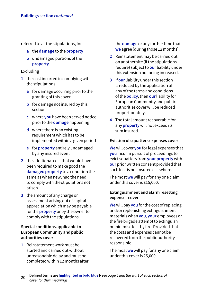referred to as the stipulations, for

- **a** the **damage** to the **property**
- **b** undamaged portions of the **property**.

#### Excluding

- **1** the cost incurred in complying with the stipulations
	- **a** for damage occurring prior to the granting of this cover
	- **b** for damage not insured by this section
	- **c** where **you** have been served notice prior to the **damage** happening
	- **d** where there is an existing requirement which has to be implemented within a given period
	- **e** for **property** entirely undamaged by any insured event
- **2** the additional cost that would have been required to make good the **damaged property** to a condition the same as when new, had the need to comply with the stipulations not arisen
- **3** the amount of any charge or assessment arising out of capital appreciation which may be payable for the **property** or by the owner to comply with the stipulations.

#### **Special conditions applicable to European Community and public authorities cover**

**1** Reinstatement work must be started and carried out without unreasonable delay and must be completed within 12 months after the **damage** or any further time that **we** agree (during those 12 months).

- **2** Reinstatement may be carried out on another site (if the stipulations require) subject to **our** liability under this extension not being increased.
- **3** If **our** liability under this section is reduced by the application of any of the terms and conditions of the **policy**, then **our** liability for European Community and public authorities cover will be reduced proportionately.
- **4** The total amount recoverable for any **property** will not exceed its sum insured.

#### **Eviction of squatters expenses cover**

**We** will cover **you** for legal expenses that **you** incur in pursuit of proceedings to evict squatters from **your property** with **our** prior written consent provided that such loss is not insured elsewhere.

The most **we** will pay for any one claim under this cover is £15,000.

#### **Extinguishment and alarm resetting expenses cover**

**We** will pay **you** for the cost of replacing and/or replenishing extinguishment materials when **you**, **your** employees or the fire brigade attempt to extinguish or minimise loss by fire. Provided that the costs and expenses cannot be recovered from the public authority responsible.

The most **we** will pay for any one claim under this cover is £5,000.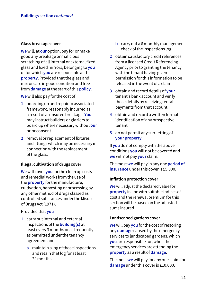#### **Glass breakage cover**

**We** will, at **our** option, pay for or make good any breakage or malicious scratching of all internal or external fixed glass and fixed mirrors, belonging to **you** or for which **you** are responsible at the **property**. Provided that the glass and mirrors are in good condition and free from **damage** at the start of this **policy**.

**We** will also pay for the cost of

- **1** boarding up and repair to associated framework, reasonably incurred as a result of an insured breakage. **You** may instruct builders or glaziers to board up where necessary without **our** prior consent
- **2** removal or replacement of fixtures and fittings which may be necessary in connection with the replacement of the glass.

#### **Illegal cultivation of drugs cover**

**We** will cover **you** for the clean up costs and remedial works from the use of the **property** for the manufacture, cultivation, harvesting or processing by any other method of drugs classed as controlled substances under the Misuse of Drugs Act (1971).

#### Provided that **you**

- **1** carry out internal and external inspections of the **building(s)** at least every 3 months or as frequently as permitted under the tenancy agreement and
	- **a** maintain a log of those inspections and retain that log for at least 24 months
- **b** carry out a 6 monthly management check of the inspections log
- **2** obtain satisfactory credit references from a licensed Credit Referencing Agency prior to granting the tenancy with the tenant having given permission for this information to be released in the event of a claim
- **3** obtain and record details of **your** tenant's bank account and verify those details by receiving rental payments from that account
- **4** obtain and record a written formal identification of any prospective tenant
- **5** do not permit any sub-letting of **your property**.

If **you** do not comply with the above conditions **you** will not be covered and **we** will not pay **your** claim.

The most **we** will pay in any one **period of insurance** under this cover is £5,000.

#### **Inflation protection cover**

**We** will adjust the declared value for **property** in line with suitable indices of cost and the renewal premium for this section will be based on the adjusted sums insured.

#### **Landscaped gardens cover**

**We** will pay **you** for the cost of restoring any **damage** caused by the emergency services to landscaped gardens, which **you** are responsible for, when the emergency services are attending the **property** as a result of **damage**.

The most **we** will pay for any one claim for **damage** under this cover is £10,000.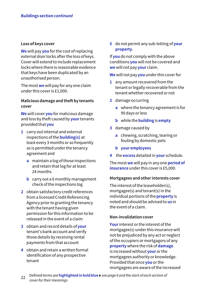#### **Loss of keys cover**

**We** will pay **you** for the cost of replacing external door locks after the loss of keys. Cover will extend to include replacement locks where there is reasonable evidence that keys have been duplicated by an unauthorised person.

The most **we** will pay for any one claim under this cover is £1,000.

#### **Malicious damage and theft by tenants cover**

**We** will cover **you** for malicious damage and loss by theft caused by **your** tenants provided that **you**

- **1** carry out internal and external inspections of the **building(s)** at least every 3 months or as frequently as is permitted under the tenancy agreement and
	- **a** maintain a log of those inspections and retain that log for at least 24 months
	- **b** carry out a 6 monthly management check of the inspections log
- **2** obtain satisfactory credit references from a licensed Credit Referencing Agency prior to granting the tenancy with the tenant having given permission for this information to be released in the event of a claim
- **3** obtain and record details of **your**  tenant's bank account and verify those details by receiving rental payments from that account
- **4** obtain and retain a written formal identification of any prospective tenant

**5** do not permit any sub-letting of **your property**.

If **you** do not comply with the above conditions **you** will not be covered and **we** will not pay **your** claim.

**We** will not pay **you** under this cover for

- **1** any amount recovered from the tenant or legally recoverable from the tenant whether recovered or not
- **2** damage occurring
	- **a** where the tenancy agreement is for 90 days or less
	- **b** while the **building** is **empty**
- **3** damage caused by
	- **a** chewing, scratching, tearing or fouling by domestic pets
	- **b your employees**
- **4** the **excess** detailed in **your** schedule.

The most **we** will pay in any one **period of insurance** under this cover is £5,000.

#### **Mortgagees and other interests cover**

The interest of the leaseholder(s), mortgagee(s) and tenant(s) in the individual portions of the **property** is noted and should be advised to **us** in the event of a claim.

#### **Non-invalidation cover**

**Your** interest or the interest of the mortgagee(s) under this insurance will not be prejudiced by any act or neglect of the occupiers or mortgagors of any **property** where the risk of **damage** is increased without **your** or the mortgagees authority or knowledge. Provided that once **you** or the mortgagees are aware of the increased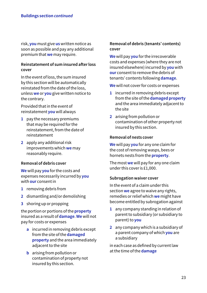risk, **you** must give **us** written notice as soon as possible and pay any additional premium that **we** may require.

#### **Reinstatement of sum insured after loss cover**

In the event of loss, the sum insured by this section will be automatically reinstated from the date of the loss, unless **we** or **you** give written notice to the contrary.

Provided that in the event of reinstatement **you** will always

- **1** pay the necessary premiums that may be required for the reinstatement, from the date of reinstatement
- **2** apply any additional risk improvements which **we** may reasonably require.

#### **Removal of debris cover**

**We** will pay **you** for the costs and expenses necessarily incurred by **you** with **our** consent in

- **1** removing debris from
- **2** dismantling and/or demolishing
- **3** shoring up or propping

the portion or portions of the **property** insured as a result of **damage**. **We** will not pay for costs or expenses

- **a** incurred in removing debris except from the site of the **damaged property** and the area immediately adjacent to the site
- **b** arising from pollution or contamination of property not insured by this section.

#### **Removal of debris (tenants' contents) cover**

**We** will pay **you** for the irrecoverable costs and expenses (where they are not insured elsewhere) incurred by **you** with **our** consent to remove the debris of tenants' contents following **damage**.

**We** will not cover for costs or expenses

- **1** incurred in removing debris except from the site of the **damaged property** and the area immediately adjacent to the site
- **2** arising from pollution or contamination of other property not insured by this section.

#### **Removal of nests cover**

**We** will pay **you** for any one claim for the cost of removing wasps, bees or hornets nests from the **property**.

The most **we** will pay for any one claim under this cover is £1,000.

#### **Subrogation waiver cover**

In the event of a claim under this section **we** agree to waive any rights, remedies or relief which **we** might have become entitled by subrogation against

- **1** any company standing in relation of parent to subsidiary (or subsidiary to parent) to **you**
- **2** any company which is a subsidiary of a parent company of which **you** are a subsidiary

in each case as defined by current law at the time of the **damage**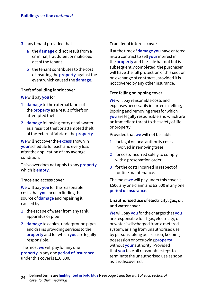- **3** any tenant provided that
	- **a** the **damage** did not result from a criminal, fraudulent or malicious act of the tenant
	- **b** the tenant contributes to the cost of insuring the **property** against the event which caused the **damage**.

#### **Theft of building fabric cover**

**We** will pay **you** for

- **1 damage** to the external fabric of the **property** as a result of theft or attempted theft
- **2 damage** following entry of rainwater as a result of theft or attempted theft of the external fabric of the **property**.

**We** will not cover the **excess** shown in **your** schedule for each and every loss after the application of any average condition.

This cover does not apply to any **property** which is **empty**.

#### **Trace and access cover**

**We** will pay **you** for the reasonable costs that **you** incur in finding the source of **damage** and repairing it, caused by

- **1** the escape of water from any tank, apparatus or pipe
- **2 damage** to cables, underground pipes and drains providing services to the **property** and for which **you** are legally responsible.

The most **we** will pay for any one **property** in any one **period of insurance** under this cover is £10,000.

#### **Transfer of interest cover**

If at the time of **damage you** have entered into a contract to sell **your** interest in the **property** and the sale has not but is subsequently completed, the purchaser will have the full protection of this section on exchange of contracts, provided it is not covered by any other insurance.

#### **Tree felling or lopping cover**

**We** will pay reasonable costs and expenses necessarily incurred in felling, lopping and removing trees for which **you** are legally responsible and which are an immediate threat to the safety of life or property.

Provided that **we** will not be liable:

- **1** for legal or local authority costs involved in removing trees
- **2** for costs incurred solely to comply with a preservation order
- **3** for the costs incurred in respect of routine maintenance.

The most **we** will pay under this cover is £500 any one claim and £2,500 in any one **period of insurance**.

#### **Unauthorised use of electricity, gas, oil and water cover**

**We** will pay **you** for the charges that **you** are responsible for if gas, electricity, oil or water is discharged from a metered system, arising from unauthorised use by persons taking possession, keeping possession or occupying **property** without **your** authority. Provided that **you** take all reasonable steps to terminate the unauthorised use as soon as it is discovered.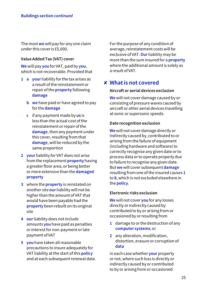The most **we** will pay for any one claim under this cover is £5,000.

#### **Value Added Tax (VAT) cover**

**We** will pay **you** for VAT, paid by **you**, which is not recoverable. Provided that

- **1 a your** liability for the tax arises as a result of the reinstatement or repair of the **property** following **damage**
	- **b we** have paid or have agreed to pay for the **damage**
	- **c** if any payment made by **us** is less than the actual cost of the reinstatement or repair of the **damage**, then any payment under this cover, resulting from that **damage**, will be reduced by the same proportion
- **2 your** liability for VAT does not arise from the replacement **property** having a greater floor area, or being better or more extensive than the **damaged property**
- **3** where the **property** is reinstated on another site **our** liability will not be higher than the amount of VAT that would have been payable had the **property** been rebuilt on its original site
- **4 our** liability does not include amounts **you** have paid as penalties or interest for non-payment or late payment of VAT
- **5 you** have taken all reasonable precautions to insure adequately for VAT liability at the start of this **policy** and at each subsequent renewal date.

For the purpose of any condition of average, reinstatement costs will be exclusive of VAT. **Our** liability may be more than the sum insured for a **property** where the additional amount is solely as a result of VAT.

### **What is not covered** ✘

#### **Aircraft or aerial devices exclusion**

**We** will not cover damage caused by or consisting of pressure waves caused by aircraft or other aerial devices travelling at sonic or supersonic speeds.

#### **Date recognition exclusion**

**We** will not cover damage directly or indirectly caused by, contributed to or arising from the failure of equipment (including hardware and software) to correctly recognise any given date or to process data or to operate properly due to failure to recognise any given date. But **we** will cover subsequent **damage** resulting from one of the insured causes **1** to **8**, which is not excluded elsewhere in the **policy**.

#### **Electronic risks exclusion**

**We** will not cover **you** for any losses directly or indirectly caused by contributed to by or arising from or occasioned by or resulting from

- **1** damage to or the destruction of any **computer systems**; or
- **2** any alteration, modification, distortion, erasure or corruption of **data**

in each case whether **your** property or not, where such loss is directly or indirectly caused by or contributed to by or arising from or occasioned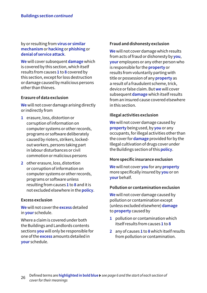by or resulting from **virus or similar mechanism** or **hacking** or **phishing** or **denial of service attack**.

**We** will cover subsequent **damage** which is covered by this section, which itself results from causes **1** to **8** covered by this section, except for loss destruction or damage caused by malicious persons other than thieves.

#### **Erasure of data exclusion**

**We** will not cover damage arising directly or indirectly from

- **1** erasure, loss, distortion or corruption of information on computer systems or other records, programs or software deliberately caused by rioters, strikers, lockedout workers, persons taking part in labour disturbances or civil commotion or malicious persons
- **2** other erasure, loss, distortion or corruption of information on computer systems or other records, programs or software unless resulting from causes **1** to **8** and it is not excluded elsewhere in the **policy**.

#### **Excess exclusion**

**We** will not cover the **excess** detailed in **your** schedule.

Where a claim is covered under both the Buildings and Landlords contents sections **you** will only be responsible for one of the **excess** amounts detailed in **your** schedule.

#### **Fraud and dishonesty exclusion**

**We** will not cover damage which results from acts of fraud or dishonesty by **you**, **your** employees or any other person who is responsible for the **property** or results from voluntarily parting with title or possession of any **property** as a result of a fraudulent scheme, trick, device or false claim. But **we** will cover subsequent **damage** which itself results from an insured cause covered elsewhere in this section.

#### **Illegal activities exclusion**

**We** will not cover damage caused by **property** being used, by **you** or any occupants, for illegal activities other than the cover for **damage** provided for by the Illegal cultivation of drugs cover under the Buildings section of this **policy**.

#### **More specific insurance exclusion**

**We** will not cover **you** for any **property** more specifically insured by **you** or on **your** behalf.

#### **Pollution or contamination exclusion**

**We** will not cover damage caused by pollution or contamination except (unless excluded elsewhere) **damage** to **property** caused by

- **1** pollution or contamination which itself results from causes **1** to **8**
- **2** any of causes **1** to **8** which itself results from pollution or contamination.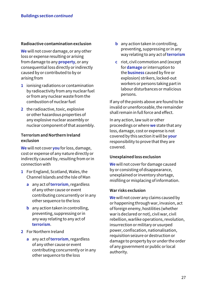#### **Radioactive contamination exclusion**

**We** will not cover damage, or any other loss or expense resulting or arising from damage to any **property**, or any consequential loss directly or indirectly caused by or contributed to by or arising from

- **1** ionising radiations or contamination by radioactivity from any nuclear fuel or from any nuclear waste from the combustion of nuclear fuel
- **2** the radioactive, toxic, explosive or other hazardous properties of any explosive nuclear assembly or nuclear component of that assembly.

#### **Terrorism and Northern Ireland exclusion**

**We** will not cover **you** for loss, damage, cost or expense of any nature directly or indirectly caused by, resulting from or in connection with

- **1** For England, Scotland, Wales, the Channel Islands and the Isle of Man
	- **a** any act of **terrorism**, regardless of any other cause or event contributing concurrently or in any other sequence to the loss
	- **b** any action taken in controlling, preventing, suppressing or in any way relating to any act of **terrorism**.
- **2** For Northern Ireland
	- **a** any act of **terrorism**, regardless of any other cause or event contributing concurrently or in any other sequence to the loss
- **b** any action taken in controlling. preventing, suppressing or in any way relating to any act of **terrorism**
- **c** riot, civil commotion and (except for **damage** or interruption to the **business** caused by fire or explosion) strikers, locked-out workers or persons taking part in labour disturbances or malicious persons.

If any of the points above are found to be invalid or unenforceable, the remainder shall remain in full force and effect.

In any action, law suit or other proceedings or where **we** state that any loss, damage, cost or expense is not covered by this section it will be **your** responsibility to prove that they are covered.

#### **Unexplained loss exclusion**

**We** will not cover for damage caused by or consisting of disappearance, unexplained or inventory shortage, misfiling or misplacing of information.

#### **War risks exclusion**

**We** will not cover any claims caused by or happening through war, invasion, act of foreign enemy, hostilities (whether war is declared or not), civil war, civil rebellion, warlike operations, revolution, insurrection or military or usurped power, confiscation, nationalisation, requisition seizure or destruction or damage to property by or under the order of any government or public or local authority.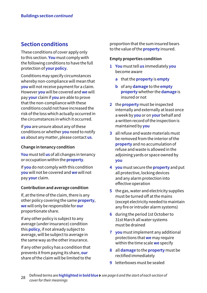### **Section conditions**

These conditions of cover apply only to this section. **You** must comply with the following conditions to have the full protection of **your policy**.

Conditions may specify circumstances whereby non-compliance will mean that **you** will not receive payment for a claim. However **you** will be covered and **we** will pay **your** claim if **you** are able to prove that the non-compliance with these conditions could not have increased the risk of the loss which actually occurred in the circumstances in which it occurred.

If **you** are unsure about any of these conditions or whether **you** need to notify **us** about any matter, please contact **us**.

#### **Change in tenancy condition**

**You** must tell **us** of all changes in tenancy or occupation within the **property**.

If **you** do not comply with this condition **you** will not be covered and **we** will not pay **your** claim.

#### **Contribution and average condition**

If, at the time of the claim, there is any other policy covering the same **property**, **we** will only be responsible for **our** proportionate share.

If any other policy is subject to any average (under insurance) condition this **policy**, if not already subject to average, will be subject to average in the same way as the other insurance.

If any other policy has a condition that prevents it from paying its share, **our** share of the claim will be limited to the proportion that the sum insured bears to the value of the **property** insured.

#### **Empty properties condition**

- **1 You** must tell **us** immediately **you** become aware
	- **a** that the **property** is **empty**
	- **b** of any **damage** to the **empty property** whether the **damage** is insured or not
- **2** the **property** must be inspected internally and externally at least once a week by **you** or on **your** behalf and a written record of the inspection is maintained by **you**
- **3** all refuse and waste materials must be removed from the interior of the **property** and no accumulation of refuse and waste is allowed in the adjoining yards or space owned by **you**
- **4 you** must secure the **property** and put all protective, locking devices and any alarm protection into effective operation
- **5** the gas, water and electricity supplies must be turned off at the mains (except electricity needed to maintain any fire or intruder alarm systems)
- **6** during the period 1st October to 31st March all water systems must be drained
- **7 you** must implement any additional protections that **we** may require within the time scale **we** specify
- **8** all **damage** to the **property** must be rectified immediately
- **9** letterboxes must be sealed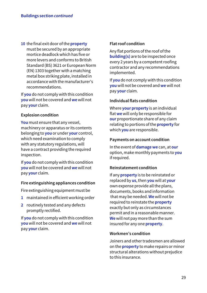**10** the final exit door of the **property** must be secured by an appropriate mortice deadlock which has five or more levers and conforms to British Standard (BS) 3621 or European Norm (EN) 1303 together with a matching metal box striking plate, installed in accordance with the manufacturer's recommendations.

If **you** do not comply with this condition **you** will not be covered and **we** will not pay **your** claim.

#### **Explosion condition**

**You** must ensure that any vessel, machinery or apparatus or its contents belonging to **you** or under **your** control, which need examination to comply with any statutory regulations, will have a contract providing the required inspection.

If **you** do not comply with this condition **you** will not be covered and **we** will not pay **your** claim.

#### **Fire extinguishing appliances condition**

Fire extinguishing equipment must be

- **1** maintained in efficient working order
- **2** routinely tested and any defects promptly rectified.

If **you** do not comply with this condition **you** will not be covered and **we** will not pay **your** claim.

#### **Flat roof condition**

Any flat portions of the roof of the **building(s)** are to be inspected once every 2 years by a competent roofing contractor and any recommendations implemented.

If **you** do not comply with this condition **you** will not be covered and **we** will not pay **your** claim.

#### **Individual flats condition**

Where **your property** is an individual flat **we** will only be responsible for **our** proportionate share of any claim relating to portions of the **property** for which **you** are responsible.

#### **Payments on account condition**

In the event of **damage we** can, at **our** option, make monthly payments to **you** if required.

#### **Reinstatement condition**

If any **property** is to be reinstated or replaced by **us**, then **you** will at **your** own expense provide all the plans, documents, books and information that may be needed. **We** will not be required to reinstate the **property** exactly but only as circumstances permit and in a reasonable manner. **We** will not pay more than the sum insured for any one **property**.

#### **Workmen's condition**

Joiners and other tradesmen are allowed on the **property** to make repairs or minor structural alterations without prejudice to this insurance.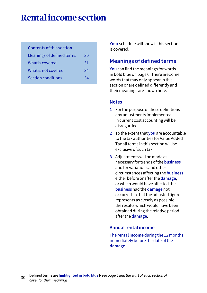# **Rental income section**

#### **Contents of this section**

| Meanings of defined terms | 30 |
|---------------------------|----|
| What is covered           | 31 |
| What is not covered       | 34 |
| <b>Section conditions</b> | 34 |

**Your** schedule will show if this section is covered.

### **Meanings of defined terms**

**You** can find the meanings for words in bold blue on page 6. There are some words that may only appear in this section or are defined differently and their meanings are shown here.

#### **Notes**

- **1** For the purpose of these definitions any adjustments implemented in current cost accounting will be disregarded.
- **2** To the extent that **you** are accountable to the tax authorities for Value Added Tax all terms in this section will be exclusive of such tax.
- **3** Adjustments will be made as necessary for trends of the **business** and for variations and other circumstances affecting the **business**, either before or after the **damage**, or which would have affected the **business** had the **damage** not occurred so that the adjusted figure represents as closely as possible the results which would have been obtained during the relative period after the **damage**.

#### **Annual rental income**

The **rental income** during the 12 months immediately before the date of the **damage**.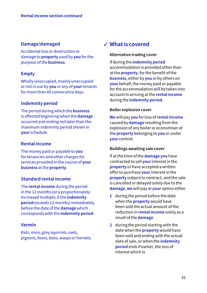#### **Damage/damaged**

Accidental loss or destruction or damage to **property** used by **you** for the purpose of the **business**.

#### **Empty**

Wholly unoccupied, mainly unoccupied or not in use by **you** or any of **your** tenants for more than 45 consecutive days.

#### **Indemnity period**

The period during which the **business** is affected beginning when the **damage** occurred and ending not later than the maximum indemnity period shown in **your** schedule.

#### **Rental income**

The money paid or payable to **you** for tenancies and other charges for services provided in the course of **your business** at the **property**.

#### **Standard rental income**

The **rental income** during the period in the 12 months (or a proportionately increased multiple, if the **indemnity period** exceeds 12 months) immediately before the date of the **damage** which corresponds with the **indemnity period**.

#### **Vermin**

Rats, mice, grey squirrels, owls, pigeons, foxes, bees, wasps or hornets.

### **What is covered** ✓

#### **Alternative trading cover**

If during the **indemnity period** accommodation is provided other than at the **property**, for the benefit of the **business**, either by **you** or by others on **your** behalf, the money paid or payable for the accommodation will be taken into account in arriving at the **rental income** during the **indemnity period**.

#### **Boiler explosion cover**

**We** will pay **you** for loss of **rental income** caused by **damage** resulting from the explosion of any boiler or economiser at the **property** belonging to **you** or under **your** control.

#### **Buildings awaiting sale cover**

If at the time of the **damage you** have contracted to sell **your** interest in the **property** or have accepted a written offer to purchase **your** interest in the **property** subject to contract, and the sale is cancelled or delayed solely due to the **damage**, **we** will pay at **your** option either

- **1** during the period before the date when the **property** would have been sold the actual amount of the reduction in **rental income** solely as a result of the **damage**
- **2** during the period starting with the date when the **property** would have been sold and ending with the actual date of sale, or when the **indemnity period** ends if earlier, the loss of interest which is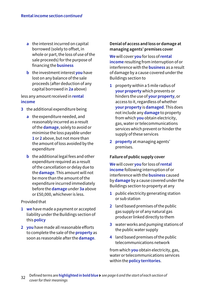- **a** the interest incurred on capital borrowed (solely to offset, in whole or part, the loss of use of the sale proceeds) for the purpose of financing the **business**
- **b** the investment interest **you** have lost on any balance of the sale proceeds (after deduction of any capital borrowed in **2a** above)

less any amount received in **rental income**

- **3** the additional expenditure being
	- **a** the expenditure needed, and reasonably incurred as a result of the **damage**, solely to avoid or minimise the loss payable under **1** or **2** above, but not more than the amount of loss avoided by the expenditure
	- **b** the additional legal fees and other expenditure required as a result of the cancellation or delay due to the **damage**. This amount will not be more than the amount of the expenditure incurred immediately before the **damage** under **3a** above or £50,000, whichever is less.

#### Provided that

- **1 we** have made a payment or accepted liability under the Buildings section of this **policy**
- **2 you** have made all reasonable efforts to complete the sale of the **property** as soon as reasonable after the **damage**.

#### **Denial of access and loss or damage at managing agents' premises cover**

**We** will cover **you** for loss of **rental income** resulting from interruption of or interference with the **business** as a result of damage by a cause covered under the Buildings section to

- **1** property within a 5 mile radius of **your property** which prevents or hinders the use of **your property**, or access to it, regardless of whether **your property** is **damaged**. This does not include any **damage** to property from which **you** obtain electricity, gas, water or telecommunications services which prevent or hinder the supply of these services
- **2 property** at managing agents' premises.

#### **Failure of public supply cover**

**We** will cover **you** for loss of **rental income** following interruption of or interference with the **business** caused by **damage** by a cause covered under the Buildings section to property at any

- **1** public electricity generating station or sub station
- **2** land based premises of the public gas supply or of any natural gas producer linked directly to them
- **3** water works and pumping stations of the public water supply
- **4** land based premises of the public telecommunications network

from which **you** obtain electricity, gas, water or telecommunications services within the **policy territories**.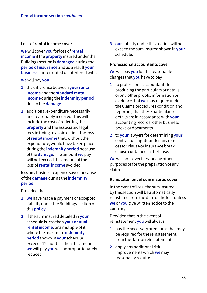#### **Loss of rental income cover**

**We** will cover **you** for loss of **rental income** if the **property** insured under the Buildings section is **damaged** during the **period of insurance** and as a result **your business** is interrupted or interfered with.

**We** will pay **you**

- **1** the difference between **yourrental income** and the **standard rental income** during the **indemnity period**  due to the **damage**
- **2** additional expenditure necessarily and reasonably incurred. This will include the cost of re-letting the **property** and the associated legal fees in trying to avoid or limit the loss of **rental income** that, without the expenditure, would have taken place during the **indemnity period** because of the **damage**. The amount **we** pay will not exceed the amount of the loss of **rental income** avoided

less any business expense saved because of the **damage** during the **indemnity period**.

Provided that

- **1 we** have made a payment or accepted liability under the Buildings section of this **policy**
- **2** if the sum insured detailed in **your** schedule is less than **your annual rental income**, or a multiple of it where the maximum **indemnity period** shown in **your** schedule exceeds 12 months, then the amount **we** will pay **you** will be proportionately reduced

**3 our** liability under this section will not exceed the sum insured shown in **your** schedule.

#### **Professional accountants cover**

**We** will pay **you** for the reasonable charges that **you** have to pay

- **1** to professional accountants for producing the particulars or details or any other proofs, information or evidence that **we** may require under the Claims procedures condition and reporting that these particulars or details are in accordance with **your** accounting records, other business books or documents
- **2** to **your** lawyers for determining **your** contractual rights under any rent cessor clause or insurance break clause contained in the lease.

**We** will not cover fees for any other purposes or for the preparation of any claim.

#### **Reinstatement of sum insured cover**

In the event of loss, the sum insured by this section will be automatically reinstated from the date of the loss unless **we** or **you** give written notice to the contrary.

Provided that in the event of reinstatement **you** will always

- **1** pay the necessary premiums that may be required for the reinstatement, from the date of reinstatement
- **2** apply any additional risk improvements which **we** may reasonably require.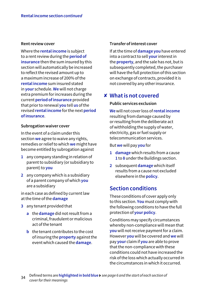#### **Rent review cover**

Where the **rental income** is subject to a rent review during the **period of insurance** then the sum insured by this section will automatically be increased to reflect the revised amount up to a maximum increase of 200% of the **rental income** sum insured stated in **your** schedule. **We** will not charge extra premium for increases during the current **period of insurance** provided that prior to renewal **you** tell **us** of the revised **rental income** for the next **period of insurance**.

#### **Subrogation waiver cover**

In the event of a claim under this section **we** agree to waive any rights, remedies or relief to which **we** might have become entitled by subrogation against

- **1** any company standing in relation of parent to subsidiary (or subsidiary to parent) to **you**
- **2** any company which is a subsidiary of a parent company of which **you** are a subsidiary

in each case as defined by current law at the time of the **damage**

- **3** any tenant provided that
	- **a** the **damage** did not result from a criminal, fraudulent or malicious act of the tenant
	- **b** the tenant contributes to the cost of insuring the **property** against the event which caused the **damage**.

#### **Transfer of interest cover**

If at the time of **damage you** have entered into a contract to sell **your** interest in the **property**, and the sale has not, but is subsequently completed, the purchaser will have the full protection of this section on exchange of contracts, provided it is not covered by any other insurance.

### **What is not covered** ✘

#### **Public services exclusion**

**We** will not cover loss of **rental income** resulting from damage caused by or resulting from the deliberate act of withholding the supply of water, electricity, gas or fuel supply or telecommunication services.

But **we** will pay **you** for

- **1 damage** which results from a cause **1** to **8** under the Buildings section.
- **2** subsequent **damage** which itself results from a cause not excluded elsewhere in the **policy**.

### **Section conditions**

These conditions of cover apply only to this section. **You** must comply with the following conditions to have the full protection of **your policy**.

Conditions may specify circumstances whereby non-compliance will mean that **you** will not receive payment for a claim. However **you** will be covered and **we** will pay **your** claim if **you** are able to prove that the non-compliance with these conditions could not have increased the risk of the loss which actually occurred in the circumstances in which it occurred.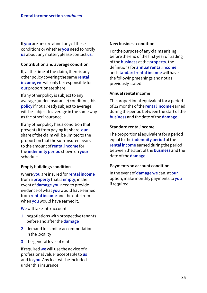If **you** are unsure about any of these conditions or whether **you** need to notify **us** about any matter, please contact **us**.

#### **Contribution and average condition**

If, at the time of the claim, there is any other policy covering the same **rental income**, **we** will only be responsible for **our** proportionate share.

If any other policy is subject to any average (under insurance) condition, this **policy** if not already subject to average, will be subject to average in the same way as the other insurance.

If any other policy has a condition that prevents it from paying its share, **our** share of the claim will be limited to the proportion that the sum insured bears to the amount of **rental income** for the **indemnity period** shown on **your** schedule.

#### **Empty buildings condition**

Where **you** are insured for **rental income** from a **property** that is **empty**, in the event of **damage you** need to provide evidence of what **you** would have earned from **rental income** and the date from when **you** would have earned it.

**We** will take into account

- **1** negotiations with prospective tenants before and after the **damage**
- **2** demand for similar accommodation in the locality
- **3** the general level of rents.

If required **we** will use the advice of a professional valuer acceptable to **us** and to **you**. Any fees will be included under this insurance.

#### **New business condition**

For the purpose of any claims arising before the end of the first year of trading of the **business** at the **property**, the definitions for **annual rental income** and **standard rental income** will have the following meanings and not as previously stated.

#### **Annual rental income**

The proportional equivalent for a period of 12 months of the **rental income** earned during the period between the start of the **business** and the date of the **damage**.

#### **Standard rental income**

The proportional equivalent for a period equal to the **indemnity period** of the **rental income** earned during the period between the start of the **business** and the date of the **damage**.

#### **Payments on account condition**

In the event of **damage we** can, at **our** option, make monthly payments to **you** if required.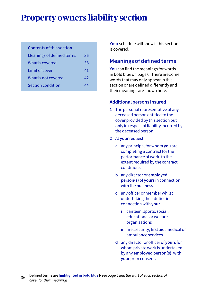# **Property owners liability section**

#### **Contents of this section**

| Meanings of defined terms | 36 |
|---------------------------|----|
| What is covered           | 38 |
| Limit of cover            | 41 |
| What is not covered       | 42 |
| Section condition         | ΔΔ |

**Your** schedule will show if this section is covered.

### **Meanings of defined terms**

**You** can find the meanings for words in bold blue on page 6. There are some words that may only appear in this section or are defined differently and their meanings are shown here.

#### **Additional persons insured**

- **1** The personal representative of any deceased person entitled to the cover provided by this section but only in respect of liability incurred by the deceased person.
- **2** At **your** request
	- **a** any principal for whom **you** are completing a contract for the performance of work, to the extent required by the contract conditions
	- **b** any director or **employed person(s)** of **yours** in connection with the **business**
	- **c** any officer or member whilst undertaking their duties in connection with **your**
		- **i** canteen, sports, social, educational or welfare organisations
		- **ii** fire, security, first aid, medical or ambulance services
	- **d** any director or officer of **yours** for whom private work is undertaken by any **employed person(s)**, with **your** prior consent.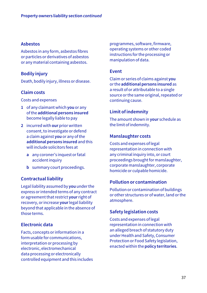## **Asbestos**

Asbestos in any form, asbestos fibres or particles or derivatives of asbestos or any material containing asbestos.

## **Bodily injury**

Death, bodily injury, illness or disease.

## **Claim costs**

Costs and expenses

- **1** of any claimant which **you** or any of the **additional persons insured** become legally liable to pay
- **2** incurred with **our** prior written consent, to investigate or defend a claim against **you** or any of the **additional persons insured** and this will include solicitors fees at
	- **a** any coroner's inquest or fatal accident inquiry
	- **b** summary court proceedings.

## **Contractual liability**

Legal liability assumed by **you** under the express or intended terms of any contract or agreement that restrict **your** right of recovery, or increase **your** legal liability beyond that applicable in the absence of those terms.

## **Electronic data**

Facts, concepts or information in a form usable for communications, interpretation or processing by electronic, electromechanical data processing or electronically controlled equipment and this includes programmes, software, firmware, operating systems or other coded instructions for the processing or manipulation of data.

## **Event**

Claim or series of claims against **you** or the **additional persons insured** as a result of or attributable to a single source or the same original, repeated or continuing cause.

## **Limit of indemnity**

The amount shown in **your** schedule as the limit of indemnity.

## **Manslaughter costs**

Costs and expenses of legal representation in connection with any criminal inquiry into, or court proceedings brought for manslaughter, corporate manslaughter, corporate homicide or culpable homicide.

## **Pollution or contamination**

Pollution or contamination of buildings or other structures or of water, land or the atmosphere.

## **Safety legislation costs**

Costs and expenses of legal representation in connection with an alleged breach of statutory duty under Health and Safety, Consumer Protection or Food Safety legislation, enacted within the **policy territories**.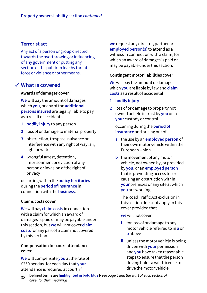## **Terrorist act**

Any act of a person or group directed towards the overthrowing or influencing of any government or putting any section of the public in fear by threat, force or violence or other means.

## **What is covered** ✓

### **Awards of damages cover**

**We** will pay the amount of damages which **you**, or any of the **additional persons insured** are legally liable to pay as a result of accidental

- **1 bodily injury** to any person
- **2** loss of or damage to material property
- **3** obstruction, trespass, nuisance or interference with any right of way, air, light or water
- **4** wrongful arrest, detention, imprisonment or eviction of any person or invasion of the right of privacy

occurring within the **policy territories** during the **period of insurance** in connection with the **business**.

#### **Claims costs cover**

**We** will pay **claim costs** in connection with a claim for which an award of damages is paid or may be payable under this section, but **we** will not cover **claim costs** for any part of a claim not covered by this section.

#### **Compensation for court attendance cover**

**We** will compensate **you** at the rate of £250 per day, for each day that **your** attendance is required at court, if

**we** request any director, partner or **employed person(s)** to attend as a witness in connection with a claim, for which an award of damages is paid or may be payable under this section.

### **Contingent motor liabilities cover**

**We** will pay the amount of damages which **you** are liable by law and **claim costs** as a result of accidental

- **1 bodily injury**
- **2** loss of or damage to property not owned or held in trust by **you** or in **your** custody or control

 occurring during the **period of insurance** and arising out of

- **a** the use by an **employed person** of their own motor vehicle within the European Union
- **b** the movement of any motor vehicle, not owned by, or provided by **you**, or an **employed person** that is preventing access to, or causing an obstruction within **your** premises or any site at which **you** are working.

 The Road Traffic Act exclusion in this section does not apply to this cover provided that

**we** will not cover

- **i** for loss of or damage to any motor vehicle referred to in **a** or **b** above
- **ii** unless the motor vehicle is being driven with **your** permission and **you** have taken reasonable steps to ensure that the person driving holds a valid licence to drive the motor vehicle
- <sup>38</sup> Defined terms are **highlighted in bold blue** *see page 6 and the start of each section of cover for their meanings*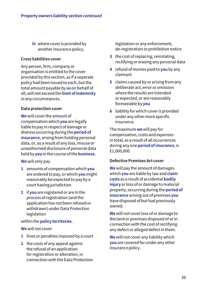**iii** where cover is provided by another insurance policy.

### **Cross liabilities cover**

Any person, firm, company or organisation is entitled to the cover provided by this section, as if a separate policy had been issued to each, but the total amount payable by **us** on behalf of all, will not exceed the **limit of indemnity** in any circumstances.

### **Data protection cover**

**We** will cover the amount of compensation which **you** are legally liable to pay in respect of damage or distress occurring during the **period of insurance**, arising from holding personal data, or, as a result of any loss, misuse or unauthorised disclosure of personal data held by **you** in the course of the **business**.

## **We** will only pay

- **1** amounts of compensation which **you** are ordered to pay, or which **you** might reasonably be expected to pay by a court having jurisdiction
- **2** if **you** are registered or are in the process of registration (and the application has not been refused or withdrawn) under Data Protection legislation

### within the **policy territories**.

#### **We** will not cover

- **1** fines or penalties imposed by a court
- **2** the costs of any appeal against the refusal of an application for registration or alteration, in connection with the Data Protection

legislation or any enforcement, de-registration or prohibition notice

- **3** the cost of replacing, reinstating, rectifying or erasing any personal data
- **4** refund of monies paid to **you** by any claimant
- **5** claims caused by or arising from any deliberate act, error or omission where the results are intended or expected, or are reasonably foreseeable by **you**
- **6** liability for which cover is provided under any other more specific insurance.

The maximum **we** will pay for compensation, costs and expenses in total, as a result of all occurrences during any one **period of insurance**, is £1,000,000.

## **Defective Premises Act cover**

**We** will pay the amount of damages which **you** are liable by law and **claim costs** as a result of accidental **bodily injury** or loss of or damage to material property, occurring during the **period of insurance** arising out of premises **you** have disposed of but had previously owned.

**We** will not cover loss of or damage to the land or premises disposed of or in connection with the cost of rectifying any defect or alleged defect in them.

**We** will not cover any liability which **you** are covered for under any other insurance policy.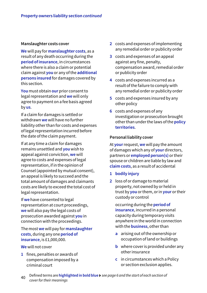#### **Manslaughter costs cover**

**We** will pay for **manslaughter costs**, as a result of any death occurring during the **period of insurance**, in circumstances where there is also a claim or potential claim against **you** or any of the **additional persons insured** for damages covered by this section.

**You** must obtain **our** prior consent to legal representation and **we** will only agree to payment on a fee basis agreed by **us**.

If a claim for damages is settled or withdrawn **we** will have no further liability other than for costs and expenses of legal representation incurred before the date of the claim payment.

If at any time a claim for damages remains unsettled and **you** wish to appeal against conviction, **we** will agree to costs and expenses of legal representation, if in the opinion of Counsel (appointed by mutual consent), an appeal is likely to succeed and the total amount of damages and claimants costs are likely to exceed the total cost of legal representation.

If **we** have consented to legal representation at court proceedings, **we** will also pay the legal costs of prosecution awarded against **you** in connection with the proceedings.

The most **we** will pay for **manslaughter costs**, during any one **period of insurance**, is £1,000,000.

**We** will not cover

**1** fines, penalties or awards of compensation imposed by a criminal court

- **2** costs and expenses of implementing any remedial order or publicity order
- **3** costs and expenses of an appeal against any fine, penalty, compensation award, remedial order or publicity order
- **4** costs and expenses incurred as a result of the failure to comply with any remedial order or publicity order
- **5** costs and expenses insured by any other policy
- **6** costs and expenses of any investigation or prosecution brought other than under the laws of the **policy territories**.

#### **Personal liability cover**

At **your** request, **we** will pay the amount of damages which any of **your** directors, partners or **employed person(s)** or their spouse or children are liable by law and **claim costs**, as a result of accidental

- **1 bodily injury**
- **2** loss of or damage to material property, not owned by or held in trust by **you** or them, or in **your** or their custody or control

 occurring during the **period of insurance**, incurred in a personal capacity during temporary visits anywhere in the world in connection with the **business**, other than

- **a** arising out of the ownership or occupation of land or buildings
- **b** where cover is provided under any other insurance
- **c** in circumstances which a Policy or section exclusion applies.
- <sup>40</sup> Defined terms are **highlighted in bold blue** *see page 6 and the start of each section of cover for their meanings*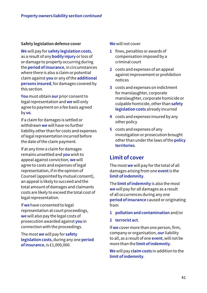### **Safety legislation defence cover**

**We** will pay for **safety legislation costs**, as a result of any **bodily injury** or loss of or damage to property occurring during the **period of insurance**, in circumstances where there is also a claim or potential claim against **you** or any of the **additional persons insured**, for damages covered by this section.

**You** must obtain **our** prior consent to legal representation and **we** will only agree to payment on a fee basis agreed by **us**.

If a claim for damages is settled or withdrawn **we** will have no further liability other than for costs and expenses of legal representation incurred before the date of the claim payment.

If at any time a claim for damages remains unsettled and **you** wish to appeal against conviction, **we** will agree to costs and expenses of legal representation, if in the opinion of Counsel (appointed by mutual consent), an appeal is likely to succeed and the total amount of damages and claimants costs are likely to exceed the total cost of legal representation.

If **we** have consented to legal representation at court proceedings, **we** will also pay the legal costs of prosecution awarded against **you** in connection with the proceedings.

The most **we** will pay for **safety legislation costs**, during any one **period of insurance**, is £1,000,000.

#### **We** will not cover

- **1** fines, penalties or awards of compensation imposed by a criminal court
- **2** costs and expenses of an appeal against improvement or prohibition notices
- **3** costs and expenses on indictment for manslaughter, corporate manslaughter, corporate homicide or culpable homicide, other than **safety legislation costs** already incurred
- **4** costs and expenses insured by any other policy
- **5** costs and expenses of any investigation or prosecution brought other than under the laws of the **policy territories**.

## **Limit of cover**

The most **we** will pay for the total of all damages arising from one **event** is the **limit of indemnity**.

The **limit of indemnity** is also the most **we** will pay for all damages as a result of all occurrences during any one **period of insurance** caused or originating from

- **1 pollution and contamination** and/or
- **2 terrorist act**.

If **we** cover more than one person, firm, company or organisation, **our** liability to all, as a result of one **event**, will not be more than the **limit of indemnity**.

**We** will pay **claim costs** in addition to the **limit of indemnity**.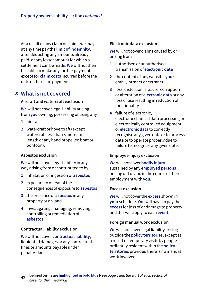As a result of any claim or claims **we** may at any time pay the **limit of indemnity**, after deducting any amounts already paid, or any lesser amount for which a settlement can be made. **We** will not then be liable to make any further payment except for **claim costs** incurred before the date of the claim payment.

## **What is not covered** ✘

#### **Aircraft and watercraft exclusion**

**We** will not cover legal liability arising from **you** owning, possessing or using any

- **1** aircraft
- **2** watercraft or hovercraft (except watercraft less than 8 metres in length or any hand propelled boat or pontoon).

#### **Asbestos exclusion**

**We** will not cover legal liability in any way arising from or contributed to by

- **1** inhalation or ingestion of **asbestos**
- **2** exposure to or fear of the consequences of exposure to **asbestos**
- **3** the presence of **asbestos** in any property or on land
- **4** investigating, managing, removing, controlling or remediation of **asbestos**.

## **Contractual liability exclusion**

**We** will not cover **contractual liability**, liquidated damages or any contractual fines or amounts payable under penalty clauses.

## **Electronic data exclusion**

**We** will not cover claims caused by or arising from

- **1** authorised or unauthorised transmission of **electronic data**
- **2** the content of any website, **your** email, intranet or extranet
- **3** loss, distortion, erasure, corruption or alteration of **electronic data** or any loss of use resulting in reduction of functionality
- **4** failure of electronic, electromechanical data processing or electronically controlled equipment or **electronic data** to correctly recognise any given date or to process data or to operate properly due to failure to recognise any given date.

## **Employee injury exclusion**

**We** will not cover **bodily injury** sustained by any **employed persons** arising out of and in the course of their employment with **you**.

#### **Excess exclusion**

**We** will not cover the **excess** shown in **your** schedule. **You** will have to pay the **excess** for loss of or damage to property and this will apply to each **event**.

## **Foreign manual work exclusion**

**We** will not cover legal liability arising outside the **policy territories**, except as a result of temporary visits by people ordinarily resident within the **policy territories** provided there is no manual work involved.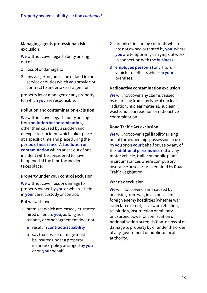## **Managing agents professional risk exclusion**

**We** will not cover legal liability arising out of

- **1** loss of or damage to
- **2** any act, error, omission or fault in the service or duties which **you** provide or contract to undertake as agent for

property let or managed or any property for which **you** are responsible.

### **Pollution and contamination exclusion**

**We** will not cover legal liability arising from **pollution or contamination**, other than caused by a sudden and unexpected incident which takes place at a specific time and place during the **period of insurance**. All **pollution or contamination** which arises out of one incident will be considered to have happened at the time the incident takes place.

#### **Property under your control exclusion**

**We** will not cover loss or damage to property owned by **you** or which is held in **your** care, custody or control.

But **we** will cover

- **1** premises which are leased, let, rented, hired or lent to **you**, as long as a tenancy or other agreement does not
	- **a** result in **contractual liability**
	- **b** say that loss or damage must be insured under a property insurance policy arranged by **you** or on **your** behalf
- **2** premises including contents which are not owned or rented by **you**, where **you** are temporarily carrying out work in connection with the **business**
- **3 employed person(s)** or visitors vehicles or effects while on **your** premises.

### **Radioactive contamination exclusion**

**We** will not cover any claims caused by or arising from any type of nuclear radiation, nuclear material, nuclear waste, nuclear reaction or radioactive contamination.

### **Road Traffic Act exclusion**

**We** will not cover legal liability arising out of the ownership, possession or use by **you** or on **your** behalf or use by any of the **additional persons insured** of any motor vehicle, trailer or mobile plant in circumstances where compulsory insurance or security is required by Road Traffic Legislation.

### **War risk exclusion**

**We** will not cover claims caused by or arising from war, invasion, act of foreign enemy hostilities (whether war is declared or not), civil war, rebellion, revolution, insurrection or military or usurped power or confiscation or nationalisation or requisition, or loss of or damage to property by or under the order of any government or public or local authority.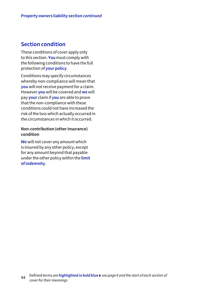## **Section condition**

These conditions of cover apply only to this section. **You** must comply with the following conditions to have the full protection of **your policy**.

Conditions may specify circumstances whereby non-compliance will mean that **you** will not receive payment for a claim. However **you** will be covered and **we** will pay **your** claim if **you** are able to prove that the non-compliance with these conditions could not have increased the risk of the loss which actually occurred in the circumstances in which it occurred.

### **Non-contribution (other insurance) condition**

**We** will not cover any amount which is insured by any other policy, except for any amount beyond that payable under the other policy within the **limit of indemnity**.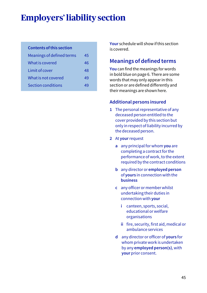# **Employers' liability section**

### **Contents of this section**

| Meanings of defined terms | 45 |
|---------------------------|----|
| What is covered           | 46 |
| Limit of cover            | 48 |
| What is not covered       | 49 |
| <b>Section conditions</b> | 49 |

**Your** schedule will show if this section is covered.

## **Meanings of defined terms**

**You** can find the meanings for words in bold blue on page 6. There are some words that may only appear in this section or are defined differently and their meanings are shown here.

## **Additional persons insured**

- **1** The personal representative of any deceased person entitled to the cover provided by this section but only in respect of liability incurred by the deceased person.
- **2** At **your** request
	- **a** any principal for whom **you** are completing a contract for the performance of work, to the extent required by the contract conditions
	- **b** any director or **employed person** of **yours** in connection with the **business**
	- **c** any officer or member whilst undertaking their duties in connection with **your**
		- **i** canteen, sports, social, educational or welfare organisations
		- **ii** fire, security, first aid, medical or ambulance services
	- **d** any director or officer of **yours** for whom private work is undertaken by any **employed person(s)**, with **your** prior consent.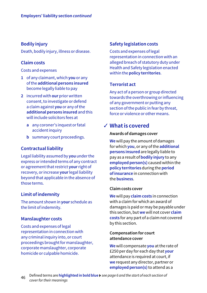## **Bodily injury**

Death, bodily injury, illness or disease.

## **Claim costs**

#### Costs and expenses

- **1** of any claimant, which **you** or any of the **additional persons insured**  become legally liable to pay
- **2** incurred with **our** prior written consent, to investigate or defend a claim against **you** or any of the **additional persons insured** and this will include solicitors fees at
	- **a** any coroner's inquest or fatal accident inquiry
	- **b** summary court proceedings.

## **Contractual liability**

Legal liability assumed by **you** under the express or intended terms of any contract or agreement that restrict **your** right of recovery, or increase **your** legal liability beyond that applicable in the absence of those terms.

## **Limit of indemnity**

The amount shown in **your** schedule as the limit of indemnity.

## **Manslaughter costs**

Costs and expenses of legal representation in connection with any criminal inquiry into, or court proceedings brought for manslaughter, corporate manslaughter, corporate homicide or culpable homicide.

## **Safety legislation costs**

Costs and expenses of legal representation in connection with an alleged breach of statutory duty under Health and Safety legislation enacted within the **policy territories**.

## **Terrorist act**

Any act of a person or group directed towards the overthrowing or influencing of any government or putting any section of the public in fear by threat, force or violence or other means.

## **What is covered** ✓

### **Awards of damages cover**

**We** will pay the amount of damages for which **you**, or any of the **additional persons insured** are legally liable to pay as a result of **bodily injury** to any **employed person(s)** caused within the **policy territories** during the **period of insurance** in connection with the **business**.

#### **Claim costs cover**

**We** will pay **claim costs** in connection with a claim for which an award of damages is paid or may be payable under this section, but **we** will not cover **claim costs** for any part of a claim not covered by this section.

### **Compensation for court attendance cover**

**We** will compensate **you** at the rate of £250 per day for each day that **your** attendance is required at court, if **we** request any director, partner or **employed person(s)** to attend as a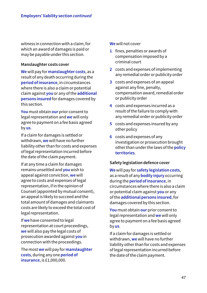witness in connection with a claim, for which an award of damages is paid or may be payable under this section.

### **Manslaughter costs cover**

**We** will pay for **manslaughter costs**, as a result of any death occurring during the **period of insurance**, in circumstances where there is also a claim or potential claim against **you** or any of the **additional persons insured** for damages covered by this section.

**You** must obtain **our** prior consent to legal representation and **we** will only agree to payment on a fee basis agreed by **us**.

If a claim for damages is settled or withdrawn, **we** will have no further liability other than for costs and expenses of legal representation incurred before the date of the claim payment.

If at any time a claim for damages remains unsettled and **you** wish to appeal against conviction, **we** will agree to costs and expenses of legal representation, if in the opinion of Counsel (appointed by mutual consent), an appeal is likely to succeed and the total amount of damages and claimants costs are likely to exceed the total cost of legal representation.

If **we** have consented to legal representation at court proceedings, **we** will also pay the legal costs of prosecution awarded against **you** in connection with the proceedings.

The most **we** will pay for **manslaughter costs**, during any one **period of insurance**, is £1,000,000.

#### **We** will not cover

- **1** fines, penalties or awards of compensation imposed by a criminal court
- **2** costs and expenses of implementing any remedial order or publicity order
- **3** costs and expenses of an appeal against any fine, penalty, compensation award, remedial order or publicity order
- **4** costs and expenses incurred as a result of the failure to comply with any remedial order or publicity order
- **5** costs and expenses insured by any other policy
- **6** costs and expenses of any investigation or prosecution brought other than under the laws of the **policy territories**.

#### **Safety legislation defence cover**

**We** will pay for **safety legislation costs**, as a result of any **bodily injury** occurring during the **period of insurance**, in circumstances where there is also a claim or potential claim against **you** or any of the **additional persons insured**, for damages covered by this section.

**You** must obtain **our** prior consent to legal representation and **we** will only agree to payment on a fee basis agreed by **us**.

If a claim for damages is settled or withdrawn, **we** will have no further liability other than for costs and expenses of legal representation incurred before the date of the claim payment.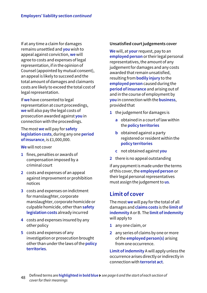If at any time a claim for damages remains unsettled and **you** wish to appeal against conviction, **we** will agree to costs and expenses of legal representation, if in the opinion of Counsel (appointed by mutual consent), an appeal is likely to succeed and the total amount of damages and claimants costs are likely to exceed the total cost of legal representation.

If **we** have consented to legal representation at court proceedings, **we** will also pay the legal costs of prosecution awarded against **you** in connection with the proceedings.

The most **we** will pay for **safety legislation costs**, during any one **period of insurance**, is £1,000,000.

**We** will not cover

- **1** fines, penalties or awards of compensation imposed by a criminal court
- **2** costs and expenses of an appeal against improvement or prohibition notices
- **3** costs and expenses on indictment for manslaughter, corporate manslaughter, corporate homicide or culpable homicide, other than **safety legislation costs** already incurred
- **4** costs and expenses insured by any other policy
- **5** costs and expenses of any investigation or prosecution brought other than under the laws of the **policy territories**.

## **Unsatisfied court judgements cover**

**We** will, at **your** request, pay to an **employed person** or their legal personal representatives, the amount of any judgement for damages and any costs awarded that remain unsatisfied, resulting from **bodily injury** to the **employed person** caused during the **period of insurance** and arising out of and in the course of employment by **you** in connection with the **business**, provided that

- **1** the judgement for damages is
	- **a** obtained in a court of law within the **policy territories**
	- **b** obtained against a party registered or resident within the **policy territories**
	- **c** not obtained against **you**
- **2** there is no appeal outstanding

if any payment is made under the terms of this cover, the **employed person** or their legal personal representatives must assign the judgement to **us**.

## **Limit of cover**

The most **we** will pay for the total of all damages and **claims costs** is the **limit of indemnity** A or B. The **limit of indemnity** will apply to

- **1** any one claim, or
- **2** any series of claims by one or more of the **employed person(s)** arising from one occurrence.

**Limit of indemnity** A will apply unless the occurrence arises directly or indirectly in connection with **terrorist act**.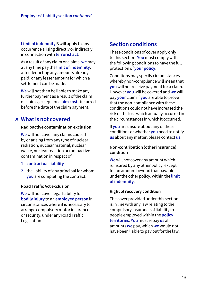**Limit of indemnity** B will apply to any occurrence arising directly or indirectly in connection with **terrorist act**.

As a result of any claim or claims, **we** may at any time pay the **limit of indemnity**, after deducting any amounts already paid, or any lesser amount for which a settlement can be made.

**We** will not then be liable to make any further payment as a result of the claim or claims, except for **claim costs** incurred before the date of the claim payment.

## **What is not covered** ✘

## **Radioactive contamination exclusion**

**We** will not cover any claims caused by or arising from any type of nuclear radiation, nuclear material, nuclear waste, nuclear reaction or radioactive contamination in respect of

- **1 contractual liability**
- **2** the liability of any principal for whom **you** are completing the contract.

## **Road Traffic Act exclusion**

**We** will not cover legal liability for **bodily injury** to an **employed person** in circumstances where it is necessary to arrange compulsory motor insurance or security, under any Road Traffic Legislation.

## **Section conditions**

These conditions of cover apply only to this section. **You** must comply with the following conditions to have the full protection of **your policy**.

Conditions may specify circumstances whereby non-compliance will mean that **you** will not receive payment for a claim. However **you** will be covered and **we** will pay **your** claim if **you** are able to prove that the non-compliance with these conditions could not have increased the risk of the loss which actually occurred in the circumstances in which it occurred.

If **you** are unsure about any of these conditions or whether **you** need to notify **us** about any matter, please contact **us**.

## **Non-contribution (other insurance) condition**

**We** will not cover any amount which is insured by any other policy, except for an amount beyond that payable under the other policy, within the **limit of indemnity**.

## **Right of recovery condition**

The cover provided under this section is in line with any law relating to the compulsory insurance of liability to people employed within the **policy territories**. **You** must repay **us** all amounts **we** pay, which **we** would not have been liable to pay but for the law.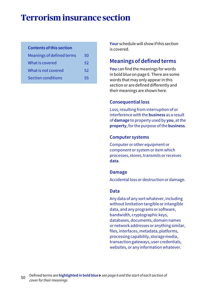# **Terrorism insurance section**

### **Contents of this section**

| Meanings of defined terms | 50 |
|---------------------------|----|
| What is covered           | 52 |
| What is not covered       | 52 |
| <b>Section conditions</b> | 55 |

**Your** schedule will show if this section is covered.

## **Meanings of defined terms**

**You** can find the meanings for words in bold blue on page 6. There are some words that may only appear in this section or are defined differently and their meanings are shown here.

### **Consequential loss**

Loss, resulting from interruption of or interference with the **business** as a result of **damage** to property used by **you**, at the **property**, for the purpose of the **business**.

#### **Computer systems**

Computer or other equipment or component or system or item which processes, stores, transmits or receives **data**.

#### **Damage**

Accidental loss or destruction or damage.

## **Data**

Any data of any sort whatever, including without limitation tangible or intangible data, and any programs or software, bandwidth, cryptographic keys, databases, documents, domain names or network addresses or anything similar, files, interfaces, metadata, platforms, processing capability, storage media, transaction gateways, user credentials, websites, or any information whatever.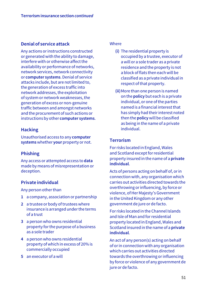## **Denial of service attack**

Any actions or instructions constructed or generated with the ability to damage, interfere with or otherwise affect the availability or performance of networks, network services, network connectivity or **computer systems**. Denial of service attacks include, but are not limited to, the generation of excess traffic into network addresses, the exploitation of system or network weaknesses, the generation of excess or non-genuine traffic between and amongst networks and the procurement of such actions or instructions by other **computer systems**.

## **Hacking**

Unauthorised access to any **computer systems** whether **your** property or not.

## **Phishing**

Any access or attempted access to **data** made by means of misrepresentation or deception.

## **Private individual**

Any person other than

- **1** a company, association or partnership
- **2** a trustee or body of trustees where insurance is arranged under the terms of a trust
- **3** a person who owns residential property for the purpose of a business as a sole trader
- **4** a person who owns residential property of which in excess of 20% is commercially occupied
- **5** an executor of a will

#### **Where**

- **(i)** The residential property is occupied by a trustee, executor of a will or a sole trader as a private residence and the property is not a block of flats then each will be classified as a private individual in respect of that property.
- **(ii)** More than one person is named on the **policy** but each is a private individual, or one of the parties named is a financial interest that has simply had their interest noted then the **policy** will be classified as being in the name of a private individual.

## **Terrorism**

For risks located in England, Wales and Scotland except for residential property insured in the name of a **private individual**.

Acts of persons acting on behalf of, or in connection with, any organisation which carries out activities directed towards the overthrowing or influencing, by force or violence, of Her Majesty's Government in the United Kingdom or any other government de jure or de facto.

For risks located in the Channel Islands and Isle of Man and for residential property located in England, Wales and Scotland insured in the name of a **private individual**.

An act of any person(s) acting on behalf of or in connection with any organisation which carries out activities directed towards the overthrowing or influencing by force or violence of any government de jure or de facto.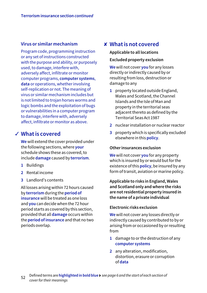## **Virus or similar mechanism**

Program code, programming instruction or any set of instructions constructed with the purpose and ability, or purposely used, to damage, interfere with, adversely affect, infiltrate or monitor computer programs, **computer systems**, **data** or operations, whether involving self-replication or not. The meaning of virus or similar mechanism includes but is not limited to trojan horses worms and logic bombs and the exploitation of bugs or vulnerabilities in a computer program to damage, interfere with, adversely affect, infiltrate or monitor as above.

## **What is covered** ✓

**We** will extend the cover provided under the following sections, where **your** schedule shows these as covered, to include **damage** caused by **terrorism**.

- **1** Buildings
- **2** Rental income
- **3** Landlord's contents

All losses arising within 72 hours caused by **terrorism** during the **period of insurance** will be treated as one loss and **you** can decide when the 72 hour period starts as covered by this section, provided that all **damage** occurs within the **period of insurance** and that no two periods overlap.

## **What is not covered** ✘

## **Applicable to all locations Excluded property exclusion**

**We** will not cover **you** for any losses directly or indirectly caused by or resulting from loss, destruction or damage to any

- **1** property located outside England, Wales and Scotland, the Channel Islands and the Isle of Man and property in the territorial seas adjacent thereto as defined by the Territorial Seas Act 1987
- **2** nuclear installation or nuclear reactor
- **3** property which is specifically excluded elsewhere in this **policy**.

### **Other insurances exclusion**

**We** will not cover **you** for any property which is insured by or would but for the existence of this **policy**, be insured by any form of transit, aviation or marine policy.

**Applicable to risks in England, Wales and Scotland only and where the risks are not residential property insured in the name of a private individual**

## **Electronic risks exclusion**

**We** will not cover any losses directly or indirectly caused by contributed to by or arising from or occasioned by or resulting from

- **1** damage to or the destruction of any **computer systems**
- **2** any alteration, modification, distortion, erasure or corruption of **data**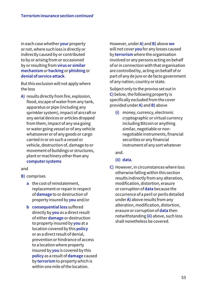in each case whether **your** property or not, where such loss is directly or indirectly caused by or contributed to by or arising from or occasioned by or resulting from **virus or similar mechanism** or **hacking** or **phishing** or **denial of service attack**.

But this exclusion will not apply where the loss

**A)** results directly from fire, explosion, flood, escape of water from any tank, apparatus or pipe (including any sprinkler system), impact of aircraft or any aerial devices or articles dropped from them, impact of any sea going or water going vessel or of any vehicle whatsoever or of any goods or cargo carried in or on such a vessel or vehicle, destruction of, damage to or movement of buildings or structures, plant or machinery other than any **computer systems**

#### and

- **B)** comprises
	- **a** the cost of reinstatement, replacement or repair in respect of **damage** to or destruction of property insured by **you** and/or
	- **b consequential loss** suffered directly by **you** as a direct result of either **damage** or destruction to property insured by **you** at a location covered by this **policy** or as a direct result of denial, prevention or hindrance of access to a location where property insured by **you** is covered by this **policy** as a result of **damage** caused by **terrorism** to property which is within one mile of the location.

However, under **A)** and **B)** above **we** will not cover **you** for any losses caused by **terrorism** where the organisation involved or any persons acting on behalf of or in connection with that organisation are controlled by, acting on behalf of or part of any de jure or de facto government of any nation, country or state.

Subject only to the proviso set out in **C)** below, the following property is specifically excluded from the cover provided under **A)** and **B)** above

**(i)** money, currency, electronic cryptographic or virtual currency including Bitcoin or anything similar, negotiable or nonnegotiable instruments, financial securities or any financial instrument of any sort whatever

and.

- **(ii) data**.
- **C)** However, in circumstances where loss otherwise falling within this section results indirectly from any alteration, modification, distortion, erasure or corruption of **data** because the occurrence of a peril or perils detailed under **A)** above results from any alteration, modification, distortion, erasure or corruption of **data** then notwithstanding **(ii)** above, such loss shall nonetheless be covered.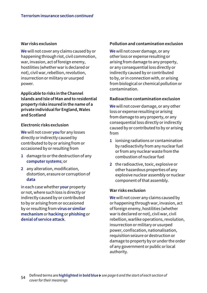#### **War risks exclusion**

**We** will not cover any claims caused by or happening through riot, civil commotion, war, invasion, act of foreign enemy, hostilities (whether war is declared or not), civil war, rebellion, revolution, insurrection or military or usurped power.

**Applicable to risks in the Channel Islands and Isle of Man and to residential property risks insured in the name of a private individual for England, Wales and Scotland**

#### **Electronic risks exclusion**

**We** will not cover **you** for any losses directly or indirectly caused by contributed to by or arising from or occasioned by or resulting from

- **1** damage to or the destruction of any **computer systems**; or
- **2** any alteration, modification, distortion, erasure or corruption of **data**

in each case whether **your** property or not, where such loss is directly or indirectly caused by or contributed to by or arising from or occasioned by or resulting from **virus or similar mechanism** or **hacking** or **phishing** or **denial of service attack**.

#### **Pollution and contamination exclusion**

**We** will not cover damage, or any other loss or expense resulting or arising from damage to any property, or any consequential loss directly or indirectly caused by or contributed to by, or in connection with, or arising from biological or chemical pollution or contamination.

#### **Radioactive contamination exclusion**

**We** will not cover damage, or any other loss or expense resulting or arising from damage to any property, or any consequential loss directly or indirectly caused by or contributed to by or arising from

- **1** ionising radiations or contamination by radioactivity from any nuclear fuel or from any nuclear waste from the combustion of nuclear fuel
- **2** the radioactive, toxic, explosive or other hazardous properties of any explosive nuclear assembly or nuclear component of that assembly.

#### **War risks exclusion**

**We** will not cover any claims caused by or happening through war, invasion, act of foreign enemy, hostilities (whether war is declared or not), civil war, civil rebellion, warlike operations, revolution, insurrection or military or usurped power, confiscation, nationalisation, requisition seizure or destruction or damage to property by or under the order of any government or public or local authority.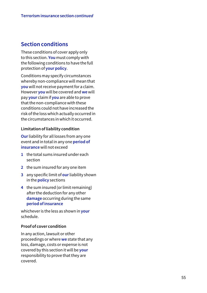## **Section conditions**

These conditions of cover apply only to this section. **You** must comply with the following conditions to have the full protection of **your policy** .

Conditions may specify circumstances whereby non-compliance will mean that **you** will not receive payment for a claim. However **you** will be covered and **we** will pay **your** claim if **you** are able to prove that the non-compliance with these conditions could not have increased the risk of the loss which actually occurred in the circumstances in which it occurred.

## **Limitation of liability condition**

**Our** liability for all losses from any one event and in total in any one **period of insurance** will not exceed

- **1** the total sums insured under each section
- **2** the sum insured for any one item
- **3** any specific limit of **our** liability shown in the **policy** sections
- **4** the sum insured (or limit remaining) after the deduction for any other **damage** occurring during the same **period of insurance**

whichever is the less as shown in **your** schedule.

## **Proof of cover condition**

In any action, lawsuit or other proceedings or where **we** state that any loss, damage, costs or expense is not covered by this section it will be **your** responsibility to prove that they are covered.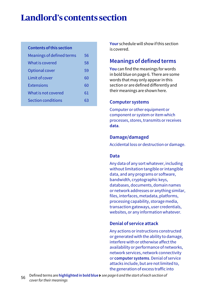# **Landlord's contents section**

### **Contents of this section**

| Meanings of defined terms | 56 |
|---------------------------|----|
| What is covered           | 58 |
| Optional cover            | 59 |
| <b>Limit of cover</b>     | 60 |
| <b>Extensions</b>         | 60 |
| What is not covered       | 61 |
| <b>Section conditions</b> | 63 |
|                           |    |

**Your** schedule will show if this section is covered.

## **Meanings of defined terms**

**You** can find the meanings for words in bold blue on page 6. There are some words that may only appear in this section or are defined differently and their meanings are shown here.

#### **Computer systems**

Computer or other equipment or component or system or item which processes, stores, transmits or receives **data**.

#### **Damage/damaged**

Accidental loss or destruction or damage.

### **Data**

Any data of any sort whatever, including without limitation tangible or intangible data, and any programs or software, bandwidth, cryptographic keys, databases, documents, domain names or network addresses or anything similar, files, interfaces, metadata, platforms, processing capability, storage media, transaction gateways, user credentials, websites, or any information whatever.

#### **Denial of service attack**

Any actions or instructions constructed or generated with the ability to damage, interfere with or otherwise affect the availability or performance of networks, network services, network connectivity or **computer systems**. Denial of service attacks include, but are not limited to, the generation of excess traffic into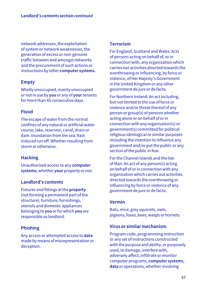network addresses, the exploitation of system or network weaknesses, the generation of excess or non-genuine traffic between and amongst networks and the procurement of such actions or instructions by other **computer systems**.

## **Empty**

Wholly unoccupied, mainly unoccupied or not in use by **you** or any of **your** tenants for more than 45 consecutive days.

## **Flood**

The escape of water from the normal confines of any natural or artificial water course, lake, reservoir, canal, drain or dam. Inundation from the sea. Rain induced run off. Whether resulting from storm or otherwise.

## **Hacking**

Unauthorised access to any **computer systems**, whether **your** property or not.

## **Landlord's contents**

Fixtures and fittings at the **property** (not forming a permanent part of the structure), furniture, furnishings, utensils and domestic appliances belonging to **you** or for which **you** are responsible as landlord.

## **Phishing**

Any access or attempted access to **data** made by means of misrepresentation or deception.

## **Terrorism**

For England, Scotland and Wales: Acts of persons acting on behalf of, or in connection with, any organisation which carries out activities directed towards the overthrowing or influencing, by force or violence, of Her Majesty's Government in the United Kingdom or any other government de jure or de facto.

For Northern Ireland: An act including, but not limited to the use of force or violence and/or threat thereof of any person or group(s) of persons whether acting alone or on behalf of or in connection with any organisation(s) or government(s) committed for political religious ideological or similar purposes including the intention to influence any government and/or put the public or any section of the public in fear.

For the Channel Islands and the Isle of Man: An act of any person(s) acting on behalf of or in connection with any organisation which carries out activities directed towards the overthrowing or influencing by force or violence of any government de jure or de facto.

## **Vermin**

Rats, mice, grey squirrels, owls, pigeons, foxes, bees, wasps or hornets.

## **Virus or similar mechanism**

Program code, programming instruction or any set of instructions constructed with the purpose and ability, or purposely used, to damage, interfere with, adversely affect, infiltrate or monitor computer programs, **computer systems**, **data** or operations, whether involving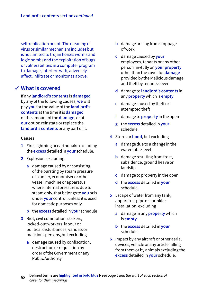self-replication or not. The meaning of virus or similar mechanism includes but is not limited to trojan horses worms and logic bombs and the exploitation of bugs or vulnerabilities in a computer program to damage, interfere with, adversely affect, infiltrate or monitor as above.

## **What is covered** ✓

If any **landlord's contents** is **damaged** by any of the following causes, **we** will pay **you** for the value of the **landlord's contents** at the time it is **damaged** or the amount of the **damage**, or at **our** option reinstate or replace the **landlord's contents** or any part of it.

#### **Causes**

- **1** Fire, lightning or earthquake excluding the **excess** detailed in **your** schedule.
- **2** Explosion, excluding
	- **a** damage caused by or consisting of the bursting by steam pressure of a boiler, economiser or other vessel, machine or apparatus where internal pressure is due to steam only, that belongs to **you** or is under **your** control, unless it is used for domestic purposes only.
	- **b** the **excess** detailed in **your** schedule
- **3** Riot, civil commotion, strikers, locked-out workers, labour or political disturbances, vandals or malicious persons, but excluding
	- **a** damage caused by confiscation, destruction or requisition by order of the Government or any Public Authority
- **b** damage arising from stoppage of work
- **c** damage caused by **your** employees, tenants or any other person lawfully on **your property**  other than the cover for **damage**  provided by the Malicious damage and theft by tenants cover
- **d** damage to **landlord's contents** in any **property** which is **empty**
- **e** damage caused by theft or attempted theft
- **f** damage to **property** in the open
- **g** the **excess** detailed in **your**  schedule.
- **4** Storm or **flood**, but excluding
	- **a** damage due to a change in the water table level
	- **b** damage resulting from frost, subsidence, ground heave or landslip
	- **c** damage to property in the open
	- **d** the **excess** detailed in **your**  schedule.
- **5** Escape of water from any tank, apparatus, pipe or sprinkler installation, excluding
	- **a** damage in any **property** which is **empty**
	- **b** the **excess** detailed in **your**  schedule.
- **6** Impact by any aircraft or other aerial devices, vehicle or any article falling from them or by animals excluding the **excess** detailed in **your** schedule.
- <sup>58</sup> Defined terms are **highlighted in bold blue** *see page 6 and the start of each section of cover for their meanings*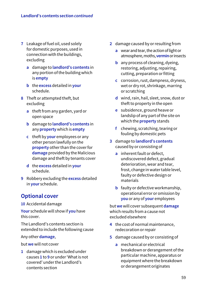- **7** Leakage of fuel oil, used solely for domestic purposes, used in connection with the buildings, excluding
	- **a** damage to **landlord's contents** in any portion of the building which is **empty**
	- **b** the **excess** detailed in **your**  schedule.
- **8** Theft or attempted theft, but excluding
	- **a** theft from any garden, yard or open space
	- **b** damage to **landlord's contents** in any **property** which is **empty**
	- **c** theft by **your** employees or any other person lawfully on the **property** other than the cover for **damage** provided by the Malicious damage and theft by tenants cover
	- **d** the **excess** detailed in **your**  schedule.
- **9** Robbery excluding the **excess** detailed in **your** schedule.

## **Optional cover**

#### **10** Accidental damage

**Your** schedule will show if **you** have this cover.

The Landlord's contents section is extended to include the following cause

#### Any other **damage**,

but **we** will not cover

**1** damage which is excluded under causes **1** to **9** or under 'What is not covered' under the Landlord's contents section

- **2** damage caused by or resulting from
	- **a** wear and tear, the action of light or atmosphere, moths, **vermin** or insects
	- **b** any process of cleaning, dyeing, restoring, adjusting, repairing, cutting, preparation or fitting
	- **c** corrosion, rust, dampness, dryness, wet or dry rot, shrinkage, marring or scratching
	- **d** wind, rain, hail, sleet, snow, dust or theft to property in the open
	- **e** subsidence, ground heave or landslip of any part of the site on which the **property** stands
	- **f** chewing, scratching, tearing or fouling by domestic pets
- **3** damage to **landlord's contents** caused by or consisting of
	- **a** inherent fault or defect, undiscovered defect, gradual deterioration, wear and tear, frost, change in water table level, faulty or defective design or materials
	- **b** faulty or defective workmanship, operational error or omission by **you** or any of **your** employees

but **we** will cover subsequent **damage** which results from a cause not excluded elsewhere

- **4** the cost of normal maintenance, redecoration or repair
- **5** damage caused by or consisting of
	- **a** mechanical or electrical breakdown or derangement of the particular machine, apparatus or equipment where the breakdown or derangement originates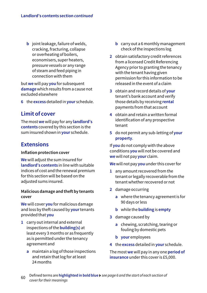**b** joint leakage, failure of welds, cracking, fracturing, collapse or overheating of boilers, economisers, super heaters, pressure vessels or any range of steam and feed piping in connection with them

but **we** will pay **you** for subsequent **damage** which results from a cause not excluded elsewhere

**6** the **excess** detailed in **your** schedule.

## **Limit of cover**

The most **we** will pay for any **landlord's contents** covered by this section is the sum insured shown in **your** schedule.

## **Extensions**

#### **Inflation protection cover**

**We** will adjust the sum insured for **landlord's contents** in line with suitable indices of cost and the renewal premium for this section will be based on the adjusted sums insured.

### **Malicious damage and theft by tenants cover**

**We** will cover **you** for malicious damage and loss by theft caused by **your** tenants provided that **you**

- **1** carry out internal and external inspections of the **building(s)** at least every 3 months or as frequently as is permitted under the tenancy agreement and
	- **a** maintain a log of those inspections and retain that log for at least 24 months
- **b** carry out a 6 monthly management check of the inspections log
- **2** obtain satisfactory credit references from a licensed Credit Referencing Agency prior to granting the tenancy with the tenant having given permission for this information to be released in the event of a claim
- **3** obtain and record details of **your**  tenant's bank account and verify those details by receiving **rental**  payments from that account
- **4** obtain and retain a written formal identification of any prospective tenant
- **5** do not permit any sub-letting of **your property**.

If **you** do not comply with the above conditions **you** will not be covered and **we** will not pay **your** claim.

**We** will not pay **you** under this cover for

- **1** any amount recovered from the tenant or legally recoverable from the tenant whether recovered or not
- **2** damage occurring
	- **a** where the tenancy agreement is for 90 days or less
	- **b** while the **building** is **empty**
- **3** damage caused by
	- **a** chewing, scratching, tearing or fouling by domestic pets
	- **b your** employees
- **4** the **excess** detailed in **your** schedule.

The most **we** will pay in any one **period of insurance** under this cover is £5,000.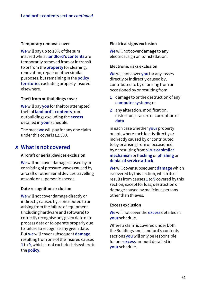#### **Temporary removal cover**

**We** will pay up to 10% of the sum insured whilst **landlord's contents** are temporarily removed from or in transit to or from the **property** for cleaning, renovation, repair or other similar purposes, but remaining in the **policy territories** excluding property insured elsewhere.

#### **Theft from outbuildings cover**

**We** will pay **you** for theft or attempted theft of **landlord's contents** from outbuildings excluding the **excess**  detailed in **your** schedule.

The most **we** will pay for any one claim under this cover is £2,500.

## **What is not covered** ✘

#### **Aircraft or aerial devices exclusion**

**We** will not cover damage caused by or consisting of pressure waves caused by aircraft or other aerial devices travelling at sonic or supersonic speeds.

#### **Date recognition exclusion**

**We** will not cover damage directly or indirectly caused by, contributed to or arising from the failure of equipment (including hardware and software) to correctly recognise any given date or to process data or to operate properly due to failure to recognise any given date. But **we** will cover subsequent **damage** resulting from one of the insured causes **1** to **9**, which is not excluded elsewhere in the **policy**.

### **Electrical signs exclusion**

**We** will not cover damage to any electrical sign or its installation.

### **Electronic risks exclusion**

**We** will not cover **you** for any losses directly or indirectly caused by, contributed to by or arising from or occasioned by or resulting from

- **1** damage to or the destruction of any **computer systems**; or
- **2** any alteration, modification, distortion, erasure or corruption of **data**

in each case whether **your** property or not, where such loss is directly or indirectly caused by or contributed to by or arising from or occasioned by or resulting from **virus or similar mechanism** or **hacking** or **phishing** or **denial of service attack**.

**We** will cover subsequent **damage** which is covered by this section, which itself results from causes **1** to **9** covered by this section, except for loss, destruction or damage caused by malicious persons other than thieves.

#### **Excess exclusion**

**We** will not cover the **excess** detailed in **your** schedule.

Where a claim is covered under both the Buildings and Landlord's contents sections **you** will only be responsible for one **excess** amount detailed in **your** schedule.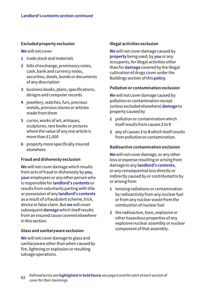### **Excluded property exclusion**

**We** will not cover

- **1** trade stock and materials
- **2** bills of exchange, promissory notes, cash, bank and currency notes, securities, deeds, bonds or documents of any description
- **3** business books, plans, specifications, designs and computer records
- **4** jewellery, watches, furs, precious metals, precious stones or articles made from them
- **5** curios, works of art, antiques, sculptures, rare books or pictures where the value of any one article is more than £1,000
- **6** property more specifically insured elsewhere.

#### **Fraud and dishonesty exclusion**

**We** will not cover damage which results from acts of fraud or dishonesty by **you**, **your** employees or any other person who is responsible for **landlord's contents** or results from voluntarily parting with title or possession of any **landlord's contents** as a result of a fraudulent scheme, trick, device or false claim. But **we** will cover subsequent **damage** which itself results from an insured cause covered elsewhere in this section.

#### **Glass and sanitaryware exclusion**

**We** will not cover damage to glass and sanitaryware other than when caused by fire, lightning or explosion or resulting salvage operations.

### **Illegal activities exclusion**

**We** will not cover damage caused by **property** being used, by **you** or any occupants, for illegal activities other than for **damage** covered by the Illegal cultivation of drugs cover under the Buildings section of this **policy**.

#### **Pollution or contamination exclusion**

**We** will not cover damage caused by pollution or contamination except (unless excluded elsewhere) **damage** to property caused by

- **1** pollution or contamination which itself results from causes **1** to **9**
- **2** any of causes **1** to **9** which itself results from pollution or contamination.

#### **Radioactive contamination exclusion**

**We** will not cover damage, or any other loss or expense resulting or arising from damage to any **landlord's contents**, or any consequential loss directly or indirectly caused by or contributed to by or arising from

- **1** ionising radiations or contamination by radioactivity from any nuclear fuel or from any nuclear waste from the combustion of nuclear fuel
- **2** the radioactive, toxic, explosive or other hazardous properties of any explosive nuclear assembly or nuclear component of that assembly.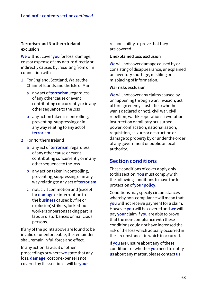## **Terrorism and Northern Ireland exclusion**

**We** will not cover **you** for loss, damage, cost or expense of any nature directly or indirectly caused by, resulting from or in connection with

- **1** For England, Scotland, Wales, the Channel Islands and the Isle of Man
	- **a** any act of **terrorism**, regardless of any other cause or event contributing concurrently or in any other sequence to the loss
	- **b** any action taken in controlling, preventing, suppressing or in any way relating to any act of **terrorism**.
- **2** For Northern Ireland
	- **a** any act of **terrorism**, regardless of any other cause or event contributing concurrently or in any other sequence to the loss
	- **b** any action taken in controlling, preventing, suppressing or in any way relating to any act of **terrorism**
	- **c** riot, civil commotion and (except for **damage** or interruption to the **business** caused by fire or explosion) strikers, locked-out workers or persons taking part in labour disturbances or malicious persons.

If any of the points above are found to be invalid or unenforceable, the remainder shall remain in full force and effect.

In any action, law suit or other proceedings or where **we** state that any loss, **damage**, cost or expense is not covered by this section it will be **your**

responsibility to prove that they are covered.

#### **Unexplained loss exclusion**

**We** will not cover damage caused by or consisting of disappearance, unexplained or inventory shortage, misfiling or misplacing of information.

#### **War risks exclusion**

**We** will not cover any claims caused by or happening through war, invasion, act of foreign enemy, hostilities (whether war is declared or not), civil war, civil rebellion, warlike operations, revolution, insurrection or military or usurped power, confiscation, nationalisation, requisition, seizure or destruction or damage to property by or under the order of any government or public or local authority.

## **Section conditions**

These conditions of cover apply only to this section. **You** must comply with the following conditions to have the full protection of **your policy**.

Conditions may specify circumstances whereby non-compliance will mean that **you** will not receive payment for a claim. However **you** will be covered and **we** will pay **your** claim if **you** are able to prove that the non-compliance with these conditions could not have increased the risk of the loss which actually occurred in the circumstances in which it occurred.

If **you** are unsure about any of these conditions or whether **you** need to notify **us** about any matter, please contact **us**.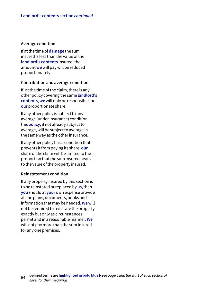#### **Average condition**

If at the time of **damage** the sum insured is less than the value of the **landlord's contents** insured, the amount **we** will pay will be reduced proportionately.

#### **Contribution and average condition**

If, at the time of the claim, there is any other policy covering the same **landlord's contents**, **we** will only be responsible for **our** proportionate share.

If any other policy is subject to any average (under insurance) condition this **policy**, if not already subject to average, will be subject to average in the same way as the other insurance.

If any other policy has a condition that prevents it from paying its share, **our** share of the claim will be limited to the proportion that the sum insured bears to the value of the property insured.

#### **Reinstatement condition**

If any property insured by this section is to be reinstated or replaced by **us**, then **you** should at **your** own expense provide all the plans, documents, books and information that may be needed. **We** will not be required to reinstate the property exactly but only as circumstances permit and in a reasonable manner. **We** will not pay more than the sum insured for any one premises.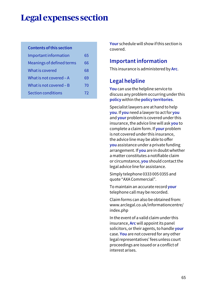# **Legal expenses section**

#### **Contents of this section**

| Important information     | 65 |
|---------------------------|----|
| Meanings of defined terms | 66 |
| What is covered           | 68 |
| What is not covered $-A$  | 69 |
| What is not covered $- B$ | 70 |
| <b>Section conditions</b> | 72 |

**Your** schedule will show if this section is covered.

## **Important information**

This insurance is administered by **Arc**.

## **Legal helpline**

**You** can use the helpline service to discuss any problem occurring under this **policy** within the **policy territories**.

Specialist lawyers are at hand to help **you**. If **you** need a lawyer to act for **you** and **your** problem is covered under this insurance, the advice line will ask **you** to complete a claim form. If **your** problem is not covered under this insurance, the advice line may be able to offer **you** assistance under a private funding arrangement. If **you** are in doubt whether a matter constitutes a notifiable claim or circumstance, **you** should contact the legal advice line for assistance.

Simply telephone 0333 005 0355 and quote "AXA Commercial".

To maintain an accurate record **your** telephone call may be recorded.

Claim forms can also be obtained from: [www.arclegal.co.uk/informationcentre/](http://www.arclegal.co.uk/informationcentre/index.php) [index.php](http://www.arclegal.co.uk/informationcentre/index.php)

In the event of a valid claim under this insurance, **Arc** will appoint its panel solicitors, or their agents, to handle **your** case. **You** are not covered for any other legal representatives' fees unless court proceedings are issued or a conflict of interest arises.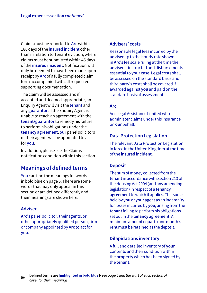Claims must be reported to **Arc** within 180 days of the **insured incident** other than in relation to Tenant eviction, where claims must be submitted within 45 days of the **insured incident**. Notification will only be deemed to have been made upon receipt by **Arc** of a fully completed claim form accompanied with all requested supporting documentation.

The claim will be assessed and if accepted and deemed appropriate, an Enquiry Agent will visit the **tenant** and any **guarantor**. If the Enquiry Agent is unable to reach an agreement with the **tenant/guarantor** to remedy his failure to perform his obligations under the **tenancy agreement**, **our** panel solicitors or their agents will be appointed to act for **you**.

In addition, please see the Claims notification condition within this section.

## **Meanings of defined terms**

**You** can find the meanings for words in bold blue on page 6. There are some words that may only appear in this section or are defined differently and their meanings are shown here.

## **Adviser**

**Arc's** panel solicitor, their agents, or other appropriately qualified person, firm or company appointed by **Arc** to act for **you**.

## **Advisers' costs**

Reasonable legal fees incurred by the **adviser** up to the hourly rate shown in **Arc's** fee scale ruling at the time the **adviser** is instructed and disbursements essential to **your** case. Legal costs shall be assessed on the standard basis and third party's costs shall be covered if awarded against **you** and paid on the standard basis of assessment.

## **Arc**

Arc Legal Assistance Limited who administer claims under this insurance on **our** behalf.

## **Data Protection Legislation**

The relevant Data Protection Legislation in force in the United Kingdom at the time of the **insured incident**.

## **Deposit**

The sum of money collected from the **tenant** in accordance with Section 213 of the Housing Act 2004 (and any amending legislation) in respect of a **tenancy agreement** to which it applies. This sum is held by **you** or **your** agent as an indemnity for losses incurred by **you**, arising from the **tenant** failing to perform his obligations set out in the **tenancy agreement**. A minimum amount equal to one month's **rent** must be retained as the deposit.

## **Dilapidations inventory**

A full and detailed inventory of **your** contents and their condition within the **property** which has been signed by the **tenant**.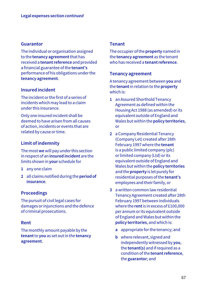### **Guarantor**

The individual or organisation assigned to the **tenancy agreement** that has received a **tenant reference** and provided a financial guarantee of the **tenant's** performance of his obligations under the **tenancy agreement**.

## **Insured incident**

The incident or the first of a series of incidents which may lead to a claim under this insurance.

Only one insured incident shall be deemed to have arisen from all causes of action, incidents or events that are related by cause or time.

## **Limit of indemnity**

The most **we** will pay under this section in respect of an **insured incident** are the limits shown in **your** schedule for

- **1** any one claim
- **2** all claims notified during the **period of insurance**.

## **Proceedings**

The pursuit of civil legal cases for damages or injunctions and the defence of criminal prosecutions.

## **Rent**

The monthly amount payable by the **tenant** to **you** as set out in the **tenancy agreement**.

### **Tenant**

The occupier of the **property** named in the **tenancy agreement** as the tenant who has received a **tenant reference**.

#### **Tenancy agreement**

A tenancy agreement between **you** and the **tenant** in relation to the **property** which is:

- **1** an Assured Shorthold Tenancy Agreement as defined within the Housing Act 1988 (as amended) or its equivalent outside of England and Wales but within the **policy territories**, or
- **2** a Company Residential Tenancy (Company Let) created after 28th February 1997 where the **tenant** is a public limited company (plc) or limited company (Ltd) or its equivalent outside of England and Wales but within the **policy territories** and the **property** is let purely for residential purposes of the **tenant's** employees and their family, or
- **3** a written common law residential Tenancy Agreement created after 28th February 1997 between individuals where the **rent** is in excess of £100,000 per annum or its equivalent outside of England and Wales but within the **policy territories**, and which is:
	- **a** appropriate for the tenancy; and
	- **b** where relevant, signed and independently witnessed by **you**, the **tenant(s)** and if required as a condition of the **tenant reference**, the **guarantor**; and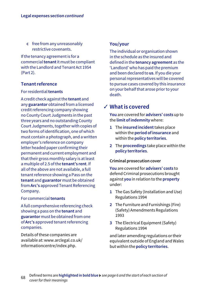**c** free from any unreasonably restrictive covenants.

If the tenancy agreement is for a commercial **tenant** it must be compliant with the Landlord and Tenant Act 1954 (Part 2).

## **Tenant reference**

## For residential **tenants**

A credit check against the **tenant** and any **guarantor** obtained from a licensed credit referencing company showing no County Court Judgments in the past three years and no outstanding County Court Judgments, together with copies of two forms of identification, one of which must contain a photograph, and a written employer's reference on company letter headed paper confirming their permanent and current employment and that their gross monthly salary is at least a multiple of 2.5 of the **tenant's rent**. If all of the above are not available, a full tenant reference showing a Pass on the **tenant** and **guarantor** must be obtained from **Arc's** approved Tenant Referencing Company.

#### For commercial **tenants**

A full comprehensive referencing check showing a pass on the **tenant** and **guarantor** must be obtained from one of **Arc's** approved tenant referencing companies.

Details of these companies are available at: [www.arclegal.co.uk/](http://www.arclegal.co.uk/informationcentre/index.php) [informationcentre/index.php](http://www.arclegal.co.uk/informationcentre/index.php).

## **You/your**

The individual or organisation shown in the schedule as the insured and defined in the **tenancy agreement** as the 'Landlord' who has paid the premium and been declared to **us**. If you die your personal representatives will be covered to pursue cases covered by this insurance on your behalf that arose prior to your death.

## **What is covered** ✓

**You** are covered for **advisers' costs** up to the **limit of indemnity** where:

- **1** The **insured incident** takes place within the **period of insurance** and within the **policy territories**.
- **2** The **proceedings** take place within the **policy territories**.

#### **Criminal prosecution cover**

**You** are covered for **advisers' costs** to defend Criminal prosecutions brought against **you** in relation to the **property** under:

- **1** The Gas Safety (Installation and Use) Regulations 1994
- **2** The Furniture and Furnishings (Fire) (Safety) Amendments Regulations 1993
- **3** The Electrical Equipment (Safety) Regulations 1994

and later amending regulations or their equivalent outside of England and Wales but within the **policy territories**.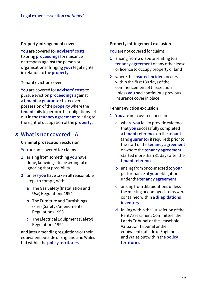### **Property infringement cover**

**You** are covered for **advisers' costs**  to bring **proceedings** for nuisance or trespass against the person or organisation infringing **your** legal rights in relation to the **property**.

#### **Tenant eviction cover**

**You** are covered for **advisers' costs** to pursue eviction **proceedings** against a **tenant** or **guarantor** to recover possession of the **property** where the **tenant** fails to perform his obligations set out in the **tenancy agreement** relating to the rightful occupation of the **property**.

## **What is not covered – A** ✘

#### **Criminal prosecution exclusion**

**You** are not covered for claims

- **1** arising from something **you** have done, knowing it to be wrongful or ignoring that possibility
- **2** unless **you** have taken all reasonable steps to comply with:
	- **a** The Gas Safety (Installation and Use) Regulations 1994
	- **b** The Furniture and Furnishings (Fire) (Safety) Amendments Regulations 1993
	- **c** The Electrical Equipment (Safety) Regulations 1994

and later amending regulations or their equivalent outside of England and Wales but within the **policy territories**.

### **Property infringement exclusion**

**You** are not covered for claims

- **1** arising from a dispute relating to a **tenancy agreement** or any other lease or licence to occupy property or land
- **2** where the **insured incident** occurs within the first 180 days of the commencement of this section unless **you** had continuous previous insurance cover in place.

### **Tenant eviction exclusion**

- **1 You** are not covered for claims:
	- **a** where **you** fail to provide evidence that **you** successfully completed a **tenant reference** on the **tenant** (and **guarantor** if required) prior to the start of the **tenancy agreement** or where the **tenancy agreement** started more than 31 days after the **tenant reference**
	- **b** arising from or connected to **your** performance of **your** obligations under the **tenancy agreement**
	- **c** arising from dilapidations unless the missing or damaged items were contained within a **dilapidations inventory**
	- **d** falling within the jurisdiction of the Rent Assessment Committee, the Lands Tribunal or the Leasehold Valuation Tribunal or their equivalent outside of England and Wales but within the **policy territories**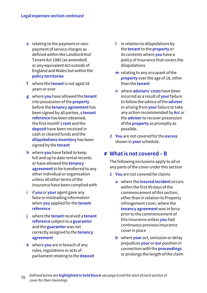- **e** relating to the payment or nonpayment of service charges as defined within the Landlord And Tenant Act 1985 (as amended) or any equivalent Act outside of England and Wales but within the **policy territories**
- **f** where the **tenant** is not aged 18 years or over
- **g** where **you** have allowed the **tenant** into possession of the **property** before the **tenancy agreement** has been signed by all parties, a **tenant reference** has been obtained, the first month's **rent** and the **deposit** have been received in cash or cleared funds and the **dilapidations inventory** has been signed by the **tenant**
- **h** where **you** have failed to keep full and up to date rental records or have allowed the **tenancy agreement** to be transferred to any other individual or organisation unless all other terms of the insurance have been complied with
- **i** if **you** or **your** agent gave any false or misleading information when **you** applied for the **tenant reference**
- **j** where the **tenant** received a **tenant reference** subject to a **guarantor** and the **guarantor** was not correctly assigned to the **tenancy agreement**
- **k** where **you** are in breach of any rules, regulations or acts of parliament relating to the **deposit**
- **l** in relation to dilapidations by the **tenant** to the **property** or its contents where **you** have a policy of insurance that covers the dilapidations
- **m** relating to any occupant of the **property** over the age of 18, other than the **tenant**
- **n** where **advisers' costs** have been incurred as a result of **your** failure to follow the advice of the **adviser** or arising from **your** failure to take any action recommended by **Arc** or the **adviser** to recover possession of the **property** as promptly as possible.
- **2 You** are not covered for the **excess** shown in **your** schedule.

## **What is not covered – B** ✘

The following exclusions apply to all or any parts of the cover under this section

- **1 You** are not covered for claims
	- **a** where the **insured incident** occurs within the first 90 days of the commencement of this section, other than in relation to Property infringement cover, where the **tenancy agreement** was in force prior to the commencement of this insurance unless **you** had continuous previous insurance cover in place
	- **b** where **your** act, omission or delay prejudices **your** or **our** position in connection with the **proceedings** or prolongs the length of the claim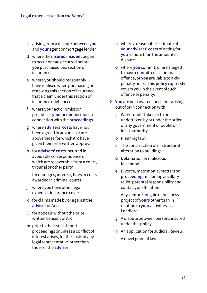- **c** arising from a dispute between **you** and **your** agent or mortgage lender
- **d** where the **insured incident** began to occur or had occurred before **you** purchased this section of insurance
- **e** where **you** should reasonably have realised when purchasing or renewing this section of insurance that a claim under this section of insurance might occur
- **f** where **your** act or omission prejudices **your** or **our** position in connection with the **proceedings**
- **g** where **advisers' costs** have not been agreed in advance or are above those for which **Arc** have given their prior written approval
- **h** for **advisers' costs** incurred in avoidable correspondence or which are recoverable from a court, tribunal or other party
- **i** for damages, interest, fines or costs awarded in criminal courts
- **j** where **you** have other legal expenses insurance cover
- **k** for claims made by or against the **adviser** or **Arc**
- **l** for appeals without the prior written consent of **Arc**
- **m** prior to the issue of court proceedings or unless a conflict of interest arises, for the costs of any legal representative other than those of the **adviser**
- **n** where a reasonable estimate of **your advisers' costs** of acting for **you** is more than the amount in dispute
- **o** where **you** commit, or are alleged to have committed, a criminal offence, or **you** are liable to a civil penalty unless this **policy** expressly covers **you** in the event of such offence or penalty.
- **2 You** are not covered for claims arising out of or in connection with
	- **a** Works undertaken or to be undertaken by or under the order of any government or public or local authority.
	- **b** Planning law.
	- **c** The construction of or structural alteration to buildings.
	- **d** Defamation or malicious falsehood.
	- **e** Divorce, matrimonial matters or **proceedings** including ancillary relief, parental responsibility and contact, or affiliation.
	- **f** Any venture for gain or business project of **yours** other than in relation to **your** activities as a Landlord.
	- **g** A dispute between persons insured under this **policy**.
	- **h** An application for Judicial Review.
	- **i** A novel point of law.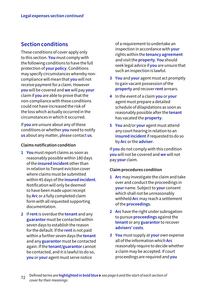## **Section conditions**

These conditions of cover apply only to this section. **You** must comply with the following conditions to have the full protection of **your policy**. Conditions may specify circumstances whereby noncompliance will mean that **you** will not receive payment for a claim. However **you** will be covered and **we** will pay **your** claim if **you** are able to prove that the non-compliance with these conditions could not have increased the risk of the loss which actually occurred in the circumstances in which it occurred.

If **you** are unsure about any of these conditions or whether **you** need to notify **us** about any matter, please contact **us**.

#### **Claims notification condition**

- **1 You** must report claims as soon as reasonably possible within 180 days of the **insured incident** other than in relation to Tenant eviction cover where claims must be submitted within 45 days of the **insured incident**. Notification will only be deemed to have been made upon receipt by **Arc** or a fully completed claim form with all requested supporting documentation.
- **2** If **rent** is overdue the **tenant** and any **guarantor** must be contacted within seven days to establish the reason for the default. If the **rent** is not paid within a further seven days the **tenant** and any **guarantor** must be contacted again. If the **tenant/guarantor** cannot be contacted, and it is lawful to do so, **you** or **your** agent must serve notice

 of a requirement to undertake an inspection in accordance with **your** rights within the **tenancy agreement** and visit the **property**. **You** should seek legal advice if **you** are unsure that such an inspection is lawful.

- **3 You** and **your** agent must act promptly to gain vacant possession of the **property** and recover **rent** arrears.
- **4** In the event of a claim **you** or **your** agent must prepare a detailed schedule of dilapidations as soon as reasonably possible after the **tenant** has vacated the **property**.
- **5 You** and/or **your** agent must attend any court hearing in relation to an **insured incident** if requested to do so by **Arc** or the **adviser**.

If **you** do not comply with this condition **you** will not be covered and **we** will not pay **your** claim.

#### **Claim procedures condition**

- **1 Arc** may investigate the claim and take over and conduct the proceedings in **your** name. Subject to **your** consent which shall not be unreasonably withheld **Arc** may reach a settlement of the **proceedings**.
- **2 Arc** have the right under subrogation to pursue **proceedings** against the **tenant** or any **guarantor** to recover **advisers' costs**.
- **3 You** must supply at **your** own expense all of the information which **Arc** reasonably require to decide whether a claim may be accepted. If court proceedings are required and **you**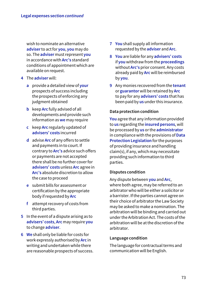wish to nominate an alternative **adviser** to act for **you**, **you** may do so. The **adviser** must represent **you** in accordance with **Arc's** standard conditions of appointment which are available on request.

- **4** The **adviser** will:
	- **a** provide a detailed view of **your** prospects of success including the prospects of enforcing any judgment obtained
	- **b** keep **Arc** fully advised of all developments and provide such information as **we** may require
	- **c** keep **Arc** regularly updated of **advisers' costs** incurred
	- **d** advise **Arc** of any offers to settle and payments in to court. If contrary to **Arc's** advice such offers or payments are not accepted there shall be no further cover for **advisers' costs** unless **Arc** agree in **Arc's** absolute discretion to allow the case to proceed
	- **e** submit bills for assessment or certification by the appropriate body if requested by **Arc**
	- **f** attempt recovery of costs from third parties.
- **5** In the event of a dispute arising as to **advisers' costs**, **Arc** may require **you** to change **adviser**.
- **6 We** shall only be liable for costs for work expressly authorised by **Arc** in writing and undertaken while there are reasonable prospects of success.
- **7 You** shall supply all information requested by the **adviser** and **Arc**.
- **8 You** are liable for any **advisers' costs** if **you** withdraw from the **proceedings** without **Arc's** prior consent. Any costs already paid by **Arc** will be reimbursed by **you**.
- **9** Any monies recovered from the **tenant** or **guarantor** will be retained by **Arc** to pay for any **advisers' costs** that has been paid by **us** under this insurance.

## **Data protection condition**

**You** agree that any information provided to **us** regarding the **insured persons**, will be processed by **us** or the **administrator** in compliance with the provisions of **Data Protection Legislation** for the purposes of providing insurance and handling claim(s), if any, which may necessitate providing such information to third parties.

## **Disputes condition**

Any dispute between **you** and **Arc**, where both agree, may be referred to an arbitrator who will be either a solicitor or a barrister. If the parties cannot agree on their choice of arbitrator the Law Society may be asked to make a nomination. The arbitration will be binding and carried out under the Arbitration Act. The costs of the arbitration will be at the discretion of the arbitrator.

## **Language condition**

The language for contractual terms and communication will be English.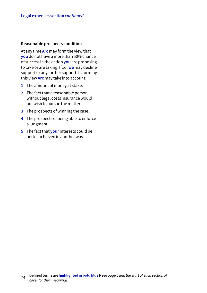#### **Reasonable prospects condition**

At any time **Arc** may form the view that **you** do not have a more than 50% chance of success in the action **you** are proposing to take or are taking. If so, **we** may decline support or any further support. In forming this view **Arc** may take into account:

- **1** The amount of money at stake.
- **2** The fact that a reasonable person without legal costs insurance would not wish to pursue the matter.
- **3** The prospects of winning the case.
- **4** The prospects of being able to enforce a judgment.
- **5** The fact that **your** interests could be better achieved in another way.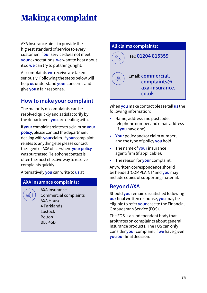# **Making a complaint**

AXA Insurance aims to provide the highest standard of service to every customer. If **our** service does not meet **your** expectations, **we** want to hear about it so **we** can try to put things right.

All complaints **we** receive are taken seriously. Following the steps below will help **us** understand **your** concerns and give **you** a fair response.

# **How to make your complaint**

The majority of complaints can be resolved quickly and satisfactorily by the department **you** are dealing with.

If **your** complaint relates to a claim on **your policy**, please contact the department dealing with **your** claim. If **your** complaint relates to anything else please contact the agent or AXA office where **yourpolicy** was purchased. Telephone contact is often the most effective way to resolve complaints quickly.

Alternatively **you** can write to **us** at

## **AXA Insurance complaints:**

配

AXA Insurance Commercial complaints AXA House 4 Parklands Lostock Bolton BL6 4SD



When **you** make contact please tell **us** the following information:

- Name, address and postcode, telephone number and email address (if **you** have one).
- **Your** policy and/or claim number, and the type of policy **you** hold.
- The name of **your** insurance agent/firm (if applicable).
- The reason for **your** complaint.

Any written correspondence should be headed 'COMPLAINT' and **you** may include copies of supporting material.

## **Beyond AXA**

Should **you** remain dissatisfied following **our** final written response, **you** may be eligible to refer **your** case to the Financial Ombudsman Service (FOS).

The FOS is an independent body that arbitrates on complaints about general insurance products. The FOS can only consider **your** complaint if **we** have given **you our** final decision.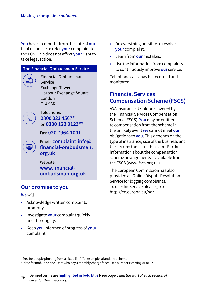**You** have six months from the date of **our** final response to refer **your** complaint to the FOS. This does not affect **your** right to take legal action.



**Our promise to you**

## **We** will

- Acknowledge written complaints promptly.
- Investigate **your** complaint quickly and thoroughly.
- Keep **you** informed of progress of **your** complaint.
- Do everything possible to resolve **your** complaint.
- Learn from **our** mistakes.
- Use the information from complaints to continuously improve **our** service.

Telephone calls may be recorded and monitored.

# **Financial Services Compensation Scheme (FSCS)**

AXA Insurance UK plc are covered by the Financial Services Compensation Scheme (FSCS). **You** may be entitled to compensation from the scheme in the unlikely event **we** cannot meet **our** obligations to **you**. This depends on the type of insurance, size of the business and the circumstances of the claim. Further information about the compensation scheme arrangements is available from the FSCS [\(www.fscs.org.uk\)](http://www.fscs.org.uk).

The European Commission has also provided an Online Dispute Resolution Service for logging complaints. To use this service please go to: <http://ec.europa.eu/odr>

\* free for people phoning from a 'fixed line' (for example, a landline at home)

\*\* free for mobile phone users who pay a monthly charge for calls to numbers starting 01 or 02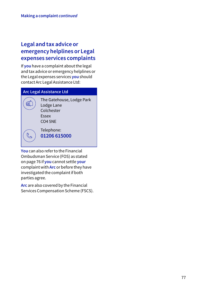# **Legal and tax advice or emergency helplines or Legal expenses services complaints**

If **you** have a complaint about the legal and tax advice or emergency helplines or the Legal expenses services **you** should contact Arc Legal Assistance Ltd:

## **Arc Legal Assistance Ltd**

ছা

 $\mathbb{C}$ 

 The Gatehouse, Lodge Park Lodge Lane Colchester Essex CO4 5NE

 Telephone: **01206 615000**

**You** can also refer to the Financial Ombudsman Service (FOS) as stated on page 76 if **you** cannot settle **your** complaint with **Arc** or before they have investigated the complaint if both parties agree.

**Arc** are also covered by the Financial Services Compensation Scheme (FSCS).